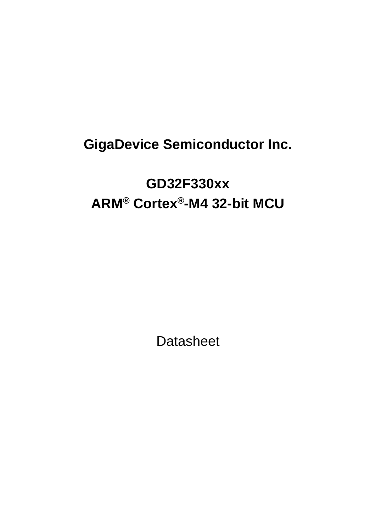# **GigaDevice Semiconductor Inc.**

# **GD32F330xx ARM® Cortex®-M4 32-bit MCU**

**Datasheet**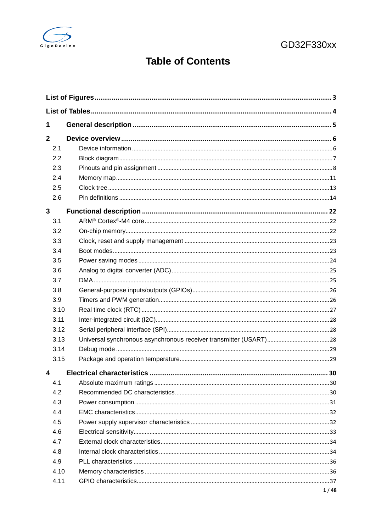

# **Table of Contents**

| 1            |  |      |
|--------------|--|------|
| $\mathbf{2}$ |  |      |
| 2.1          |  |      |
| 2.2          |  |      |
| 2.3          |  |      |
| 2.4          |  |      |
| 2.5          |  |      |
| 2.6          |  |      |
| 3            |  |      |
| 3.1          |  |      |
| 3.2          |  |      |
| 3.3          |  |      |
| 3.4          |  |      |
| 3.5          |  |      |
| 3.6          |  |      |
| 3.7          |  |      |
| 3.8          |  |      |
| 3.9          |  |      |
| 3.10         |  |      |
| 3.11         |  |      |
| 3.12         |  |      |
| 3.13         |  |      |
| 3.14         |  |      |
| 3.15         |  |      |
| 4            |  |      |
| 4.1          |  |      |
| 4.2          |  |      |
| 4.3          |  |      |
| 4.4          |  |      |
| 4.5          |  |      |
| 4.6          |  |      |
| 4.7          |  |      |
| 4.8          |  |      |
| 4.9          |  |      |
| 4.10         |  |      |
| 4.11         |  |      |
|              |  | 1/48 |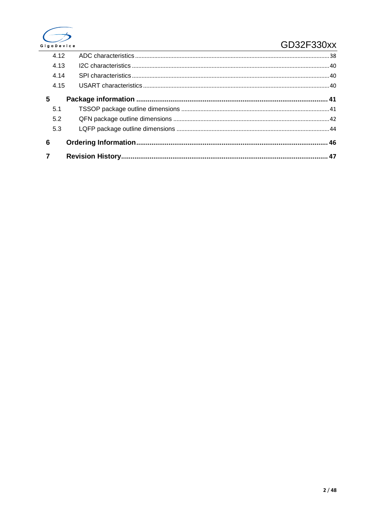

### GD32F330xx

| $\overline{7}$ |      |  |
|----------------|------|--|
|                |      |  |
| 6              |      |  |
|                | 5.3  |  |
|                | 5.2  |  |
|                | 5.1  |  |
| 5              |      |  |
|                | 4.15 |  |
|                | 4.14 |  |
|                | 4.13 |  |
|                | 4.12 |  |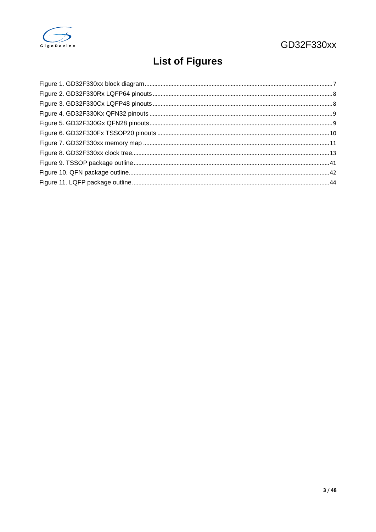<span id="page-3-0"></span>

# **List of Figures**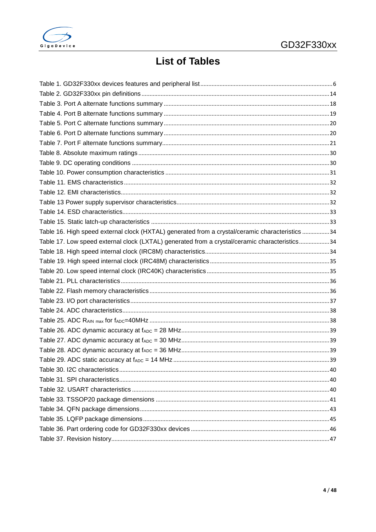<span id="page-4-0"></span>

# **List of Tables**

| Table 16. High speed external clock (HXTAL) generated from a crystal/ceramic characteristics 34 |  |
|-------------------------------------------------------------------------------------------------|--|
| Table 17. Low speed external clock (LXTAL) generated from a crystal/ceramic characteristics34   |  |
|                                                                                                 |  |
|                                                                                                 |  |
|                                                                                                 |  |
|                                                                                                 |  |
|                                                                                                 |  |
|                                                                                                 |  |
|                                                                                                 |  |
|                                                                                                 |  |
|                                                                                                 |  |
|                                                                                                 |  |
|                                                                                                 |  |
|                                                                                                 |  |
|                                                                                                 |  |
|                                                                                                 |  |
|                                                                                                 |  |
|                                                                                                 |  |
|                                                                                                 |  |
|                                                                                                 |  |
|                                                                                                 |  |
|                                                                                                 |  |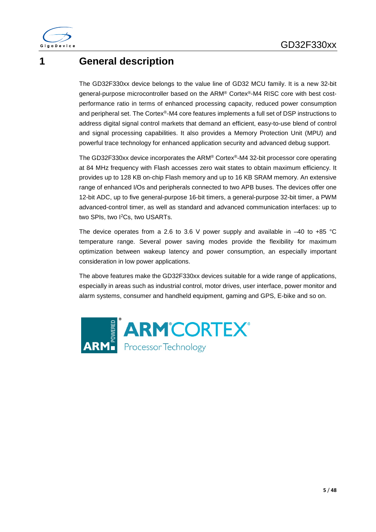

## <span id="page-5-0"></span>**1 General description**

The GD32F330xx device belongs to the value line of GD32 MCU family. It is a new 32-bit general-purpose microcontroller based on the ARM® Cortex®-M4 RISC core with best costperformance ratio in terms of enhanced processing capacity, reduced power consumption and peripheral set. The Cortex®-M4 core features implements a full set of DSP instructions to address digital signal control markets that demand an efficient, easy-to-use blend of control and signal processing capabilities. It also provides a Memory Protection Unit (MPU) and powerful trace technology for enhanced application security and advanced debug support.

The GD32F330xx device incorporates the ARM® Cortex®-M4 32-bit processor core operating at 84 MHz frequency with Flash accesses zero wait states to obtain maximum efficiency. It provides up to 128 KB on-chip Flash memory and up to 16 KB SRAM memory. An extensive range of enhanced I/Os and peripherals connected to two APB buses. The devices offer one 12-bit ADC, up to five general-purpose 16-bit timers, a general-purpose 32-bit timer, a PWM advanced-control timer, as well as standard and advanced communication interfaces: up to two SPIs, two I 2Cs, two USARTs.

The device operates from a 2.6 to 3.6 V power supply and available in  $-40$  to  $+85$  °C temperature range. Several power saving modes provide the flexibility for maximum optimization between wakeup latency and power consumption, an especially important consideration in low power applications.

The above features make the GD32F330xx devices suitable for a wide range of applications, especially in areas such as industrial control, motor drives, user interface, power monitor and alarm systems, consumer and handheld equipment, gaming and GPS, E-bike and so on.

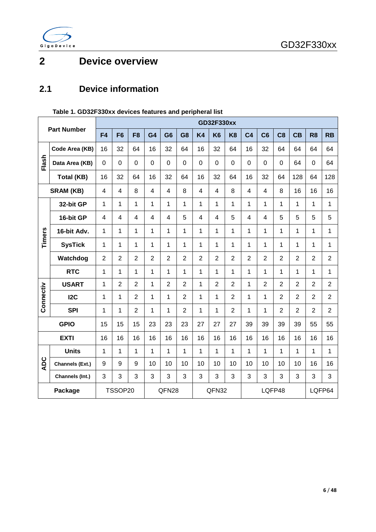

# <span id="page-6-0"></span>**2 Device overview**

### <span id="page-6-1"></span>**2.1 Device information**

|            |                    |                | <b>GD32F330xx</b> |                |                |                |                |                          |                |                |                  |                |                |                |                |                |
|------------|--------------------|----------------|-------------------|----------------|----------------|----------------|----------------|--------------------------|----------------|----------------|------------------|----------------|----------------|----------------|----------------|----------------|
|            | <b>Part Number</b> | F4             | F <sub>6</sub>    | F <sub>8</sub> | G4             | G <sub>6</sub> | G <sub>8</sub> | <b>K4</b>                | K <sub>6</sub> | K <sub>8</sub> | C <sub>4</sub>   | C <sub>6</sub> | C <sub>8</sub> | <b>CB</b>      | R <sub>8</sub> | <b>RB</b>      |
|            | Code Area (KB)     | 16             | 32                | 64             | 16             | 32             | 64             | 16                       | 32             | 64             | 16               | 32             | 64             | 64             | 64             | 64             |
| Flash      | Data Area (KB)     | 0              | $\mathbf 0$       | $\overline{0}$ | $\mathbf 0$    | $\overline{0}$ | 0              | 0                        | $\overline{0}$ | $\mathbf 0$    | $\overline{0}$   | $\overline{0}$ | $\overline{0}$ | 64             | $\Omega$       | 64             |
|            | <b>Total (KB)</b>  | 16             | 32                | 64             | 16             | 32             | 64             | 16                       | 32             | 64             | 16               | 32             | 64             | 128            | 64             | 128            |
|            | <b>SRAM (KB)</b>   | $\overline{4}$ | $\overline{4}$    | 8              | $\overline{4}$ | $\overline{4}$ | 8              | $\overline{\mathcal{L}}$ | $\overline{4}$ | 8              | $\overline{4}$   | $\overline{4}$ | 8              | 16             | 16             | 16             |
|            | 32-bit GP          | 1              | $\mathbf{1}$      | $\mathbf{1}$   | 1              | 1              | 1              | 1                        | 1              | 1              | 1                | $\mathbf{1}$   | 1              | 1              | 1              | 1              |
|            | 16-bit GP          | $\overline{4}$ | $\overline{4}$    | $\overline{4}$ | $\overline{4}$ | $\overline{4}$ | 5              | $\overline{4}$           | $\overline{4}$ | 5              | $\overline{4}$   | $\overline{4}$ | 5              | 5              | 5              | 5              |
| Timers     | 16-bit Adv.        | 1              | 1                 | $\mathbf{1}$   | 1              | 1              | 1              | 1                        | 1              | 1              | 1                | 1              | 1              | $\mathbf{1}$   | 1              | 1              |
|            | <b>SysTick</b>     | 1              | 1                 | 1              | 1              | $\mathbf{1}$   | 1              | 1                        | 1              | 1              | 1                | 1              | $\mathbf{1}$   | $\mathbf{1}$   | 1              | 1              |
|            | Watchdog           | $\overline{2}$ | $\overline{2}$    | $\overline{2}$ | $\overline{2}$ | $\overline{2}$ | $\overline{2}$ | $\overline{2}$           | $\overline{2}$ | $\overline{2}$ | $\overline{2}$   | $\overline{2}$ | $\overline{2}$ | $\overline{2}$ | $\overline{2}$ | $\overline{2}$ |
|            | <b>RTC</b>         | 1              | 1                 | 1              | $\mathbf{1}$   | 1              | 1              | 1                        | 1              | 1              | $\mathbf{1}$     | $\mathbf{1}$   | 1              | $\mathbf 1$    | 1              | 1              |
|            | <b>USART</b>       | 1              | $\overline{2}$    | $\overline{2}$ | 1              | $\overline{2}$ | $\overline{2}$ | 1                        | $\overline{2}$ | $\overline{2}$ | 1                | $\overline{2}$ | $\overline{2}$ | $\overline{2}$ | $\overline{2}$ | $\overline{2}$ |
| Connectiv  | 12C                | 1              | 1                 | $\overline{2}$ | 1              | 1              | $\overline{2}$ | 1                        | 1              | $\overline{2}$ | 1                | 1              | $\overline{2}$ | $\overline{2}$ | $\overline{2}$ | $\overline{2}$ |
|            | <b>SPI</b>         | 1              | 1                 | $\overline{2}$ | 1              | 1              | $\overline{2}$ | 1                        | 1              | $\overline{2}$ | 1                | 1              | $\overline{2}$ | $\overline{2}$ | $\overline{2}$ | $\overline{2}$ |
|            | <b>GPIO</b>        | 15             | 15                | 15             | 23             | 23             | 23             | 27                       | 27             | 27             | 39               | 39             | 39             | 39             | 55             | 55             |
|            | <b>EXTI</b>        | 16             | 16                | 16             | 16             | 16             | 16             | 16                       | 16             | 16             | 16               | 16             | 16             | 16             | 16             | 16             |
|            | <b>Units</b>       | 1              | 1                 | 1              | 1              | $\mathbf{1}$   | 1              | 1                        | 1              | 1              | 1                | 1              | 1              | 1              | 1              | 1              |
| <b>ADC</b> | Channels (Ext.)    | 9              | 9                 | 9              | 10             | 10             | 10             | 10                       | 10             | 10             | 10               | 10             | 10             | 10             | 16             | 16             |
|            | Channels (Int.)    | 3              | 3                 | 3              | 3              | 3              | 3              | 3                        | 3              | 3              | 3                | 3              | 3              | 3              | 3              | 3              |
|            | Package            |                | TSSOP20           |                |                | QFN28<br>QFN32 |                |                          |                |                | LQFP48<br>LQFP64 |                |                |                |                |                |

#### <span id="page-6-2"></span> **Table 1. GD32F330xx devices features and peripheral list**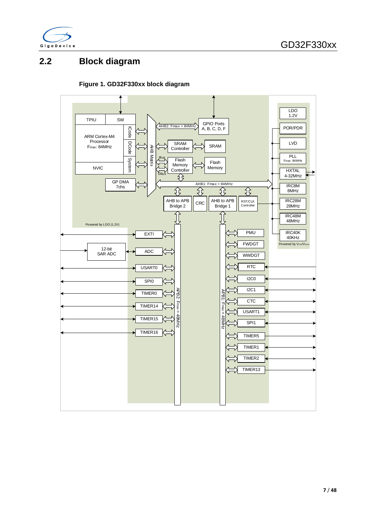

### <span id="page-7-0"></span>**2.2 Block diagram**

#### **Figure 1. GD32F330xx block diagram**

<span id="page-7-1"></span>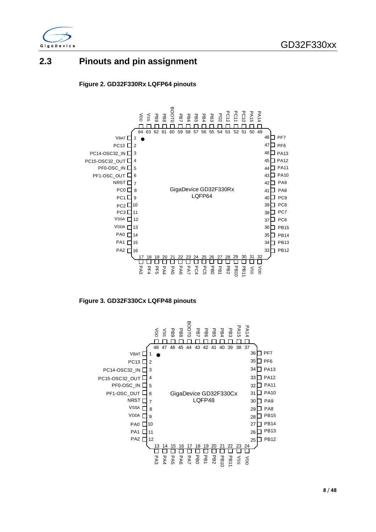

### <span id="page-8-1"></span><span id="page-8-0"></span>**2.3 Pinouts and pin assignment**





<span id="page-8-2"></span>**Figure 3. GD32F330Cx LQFP48 pinouts**

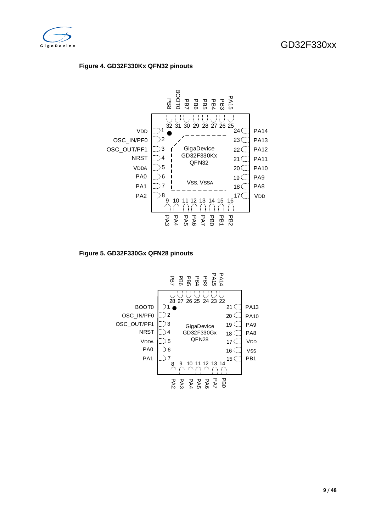<span id="page-9-0"></span>

#### **Figure 4. GD32F330Kx QFN32 pinouts**



<span id="page-9-1"></span>**Figure 5. GD32F330Gx QFN28 pinouts**

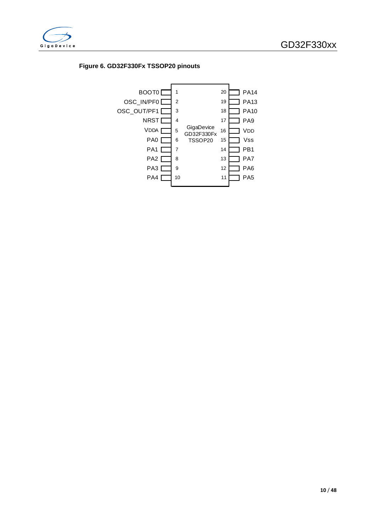<span id="page-10-0"></span>

#### **Figure 6. GD32F330Fx TSSOP20 pinouts**

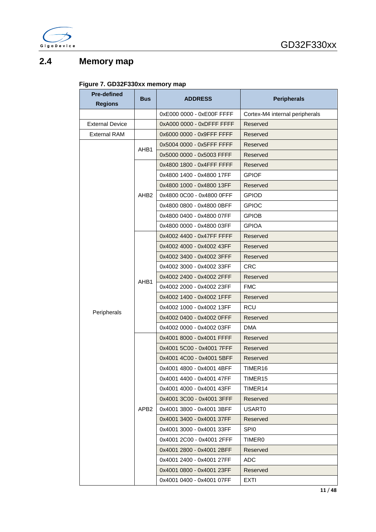

### <span id="page-11-1"></span><span id="page-11-0"></span>**2.4 Memory map**

#### **Figure 7. GD32F330xx memory map**

| <b>Pre-defined</b>     | <b>Bus</b>       | <b>ADDRESS</b>            | <b>Peripherals</b>             |
|------------------------|------------------|---------------------------|--------------------------------|
| <b>Regions</b>         |                  |                           |                                |
|                        |                  | 0xE000 0000 - 0xE00F FFFF | Cortex-M4 internal peripherals |
| <b>External Device</b> |                  | 0xA000 0000 - 0xDFFF FFFF | Reserved                       |
| <b>External RAM</b>    |                  | 0x6000 0000 - 0x9FFF FFFF | Reserved                       |
|                        | AHB1             | 0x5004 0000 - 0x5FFF FFFF | Reserved                       |
|                        |                  | 0x5000 0000 - 0x5003 FFFF | Reserved                       |
|                        |                  | 0x4800 1800 - 0x4FFF FFFF | Reserved                       |
|                        |                  | 0x4800 1400 - 0x4800 17FF | <b>GPIOF</b>                   |
|                        |                  | 0x4800 1000 - 0x4800 13FF | Reserved                       |
|                        | AHB <sub>2</sub> | 0x4800 0C00 - 0x4800 0FFF | <b>GPIOD</b>                   |
|                        |                  | 0x4800 0800 - 0x4800 0BFF | <b>GPIOC</b>                   |
|                        |                  | 0x4800 0400 - 0x4800 07FF | <b>GPIOB</b>                   |
|                        |                  | 0x4800 0000 - 0x4800 03FF | <b>GPIOA</b>                   |
|                        |                  | 0x4002 4400 - 0x47FF FFFF | Reserved                       |
|                        |                  | 0x4002 4000 - 0x4002 43FF | Reserved                       |
|                        |                  | 0x4002 3400 - 0x4002 3FFF | Reserved                       |
|                        |                  | 0x4002 3000 - 0x4002 33FF | <b>CRC</b>                     |
|                        |                  | 0x4002 2400 - 0x4002 2FFF | Reserved                       |
|                        | AHB1             | 0x4002 2000 - 0x4002 23FF | <b>FMC</b>                     |
|                        |                  | 0x4002 1400 - 0x4002 1FFF | Reserved                       |
|                        |                  | 0x4002 1000 - 0x4002 13FF | RCU                            |
| Peripherals            |                  | 0x4002 0400 - 0x4002 0FFF | Reserved                       |
|                        |                  | 0x4002 0000 - 0x4002 03FF | DMA                            |
|                        |                  | 0x4001 8000 - 0x4001 FFFF | Reserved                       |
|                        |                  | 0x4001 5C00 - 0x4001 7FFF | Reserved                       |
|                        |                  | 0x4001 4C00 - 0x4001 5BFF | Reserved                       |
|                        |                  | 0x4001 4800 - 0x4001 4BFF | TIMER <sub>16</sub>            |
|                        |                  | 0x4001 4400 - 0x4001 47FF | TIMER <sub>15</sub>            |
|                        |                  | 0x4001 4000 - 0x4001 43FF | TIMER <sub>14</sub>            |
|                        |                  | 0x4001 3C00 - 0x4001 3FFF | Reserved                       |
|                        | APB <sub>2</sub> | 0x4001 3800 - 0x4001 3BFF | USART0                         |
|                        |                  | 0x4001 3400 - 0x4001 37FF | Reserved                       |
|                        |                  | 0x4001 3000 - 0x4001 33FF | SPI <sub>0</sub>               |
|                        |                  | 0x4001 2C00 - 0x4001 2FFF | <b>TIMER0</b>                  |
|                        |                  | 0x4001 2800 - 0x4001 2BFF | Reserved                       |
|                        |                  | 0x4001 2400 - 0x4001 27FF | ADC                            |
|                        |                  | 0x4001 0800 - 0x4001 23FF | Reserved                       |
|                        |                  | 0x4001 0400 - 0x4001 07FF | EXTI                           |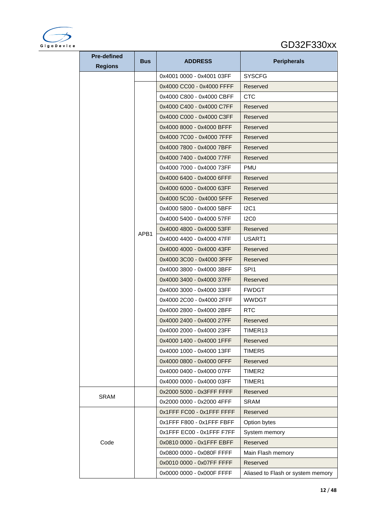

### GD32F330xx

| <b>Pre-defined</b> | <b>Bus</b> | <b>ADDRESS</b>            | <b>Peripherals</b>                |  |  |
|--------------------|------------|---------------------------|-----------------------------------|--|--|
| <b>Regions</b>     |            |                           |                                   |  |  |
|                    |            | 0x4001 0000 - 0x4001 03FF | <b>SYSCFG</b>                     |  |  |
|                    |            | 0x4000 CC00 - 0x4000 FFFF | Reserved                          |  |  |
|                    |            | 0x4000 C800 - 0x4000 CBFF | <b>CTC</b>                        |  |  |
|                    |            | 0x4000 C400 - 0x4000 C7FF | Reserved                          |  |  |
|                    |            | 0x4000 C000 - 0x4000 C3FF | Reserved                          |  |  |
|                    |            | 0x4000 8000 - 0x4000 BFFF | Reserved                          |  |  |
|                    |            | 0x4000 7C00 - 0x4000 7FFF | Reserved                          |  |  |
|                    |            | 0x4000 7800 - 0x4000 7BFF | Reserved                          |  |  |
|                    |            | 0x4000 7400 - 0x4000 77FF | Reserved                          |  |  |
|                    |            | 0x4000 7000 - 0x4000 73FF | PMU                               |  |  |
|                    |            | 0x4000 6400 - 0x4000 6FFF | Reserved                          |  |  |
|                    |            | 0x4000 6000 - 0x4000 63FF | Reserved                          |  |  |
|                    |            | 0x4000 5C00 - 0x4000 5FFF | Reserved                          |  |  |
|                    | APB1       | 0x4000 5800 - 0x4000 5BFF | I2C1                              |  |  |
|                    |            | 0x4000 5400 - 0x4000 57FF | 12C <sub>0</sub>                  |  |  |
|                    |            | 0x4000 4800 - 0x4000 53FF | Reserved                          |  |  |
|                    |            | 0x4000 4400 - 0x4000 47FF | USART1                            |  |  |
|                    |            | 0x4000 4000 - 0x4000 43FF | Reserved                          |  |  |
|                    |            | 0x4000 3C00 - 0x4000 3FFF | Reserved                          |  |  |
|                    |            | 0x4000 3800 - 0x4000 3BFF | SPI1                              |  |  |
|                    |            | 0x4000 3400 - 0x4000 37FF | Reserved                          |  |  |
|                    |            | 0x4000 3000 - 0x4000 33FF | <b>FWDGT</b>                      |  |  |
|                    |            | 0x4000 2C00 - 0x4000 2FFF | <b>WWDGT</b>                      |  |  |
|                    |            | 0x4000 2800 - 0x4000 2BFF | RTC                               |  |  |
|                    |            | 0x4000 2400 - 0x4000 27FF | Reserved                          |  |  |
|                    |            | 0x4000 2000 - 0x4000 23FF | TIMER13                           |  |  |
|                    |            | 0x4000 1400 - 0x4000 1FFF | Reserved                          |  |  |
|                    |            | 0x4000 1000 - 0x4000 13FF | TIMER5                            |  |  |
|                    |            | 0x4000 0800 - 0x4000 0FFF | Reserved                          |  |  |
|                    |            | 0x4000 0400 - 0x4000 07FF | TIMER2                            |  |  |
|                    |            | 0x4000 0000 - 0x4000 03FF | TIMER1                            |  |  |
|                    |            | 0x2000 5000 - 0x3FFF FFFF | Reserved                          |  |  |
| <b>SRAM</b>        |            | 0x2000 0000 - 0x2000 4FFF | <b>SRAM</b>                       |  |  |
|                    |            | 0x1FFF FC00 - 0x1FFF FFFF | Reserved                          |  |  |
|                    |            | 0x1FFF F800 - 0x1FFF FBFF | Option bytes                      |  |  |
|                    |            | 0x1FFF EC00 - 0x1FFF F7FF | System memory                     |  |  |
| Code               |            | 0x0810 0000 - 0x1FFF EBFF | Reserved                          |  |  |
|                    |            | 0x0800 0000 - 0x080F FFFF | Main Flash memory                 |  |  |
|                    |            | 0x0010 0000 - 0x07FF FFFF | Reserved                          |  |  |
|                    |            | 0x0000 0000 - 0x000F FFFF | Aliased to Flash or system memory |  |  |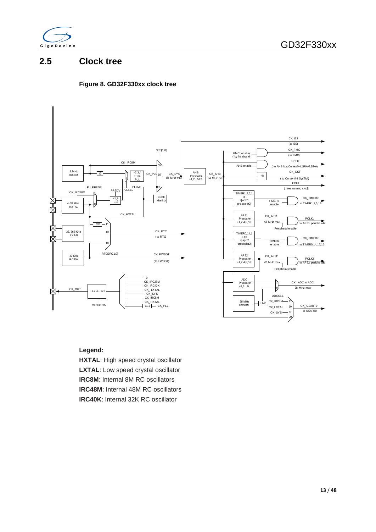

### <span id="page-13-1"></span><span id="page-13-0"></span>**2.5 Clock tree**

#### **Figure 8. GD32F330xx clock tree**



#### **Legend:**

**HXTAL**: High speed crystal oscillator **LXTAL**: Low speed crystal oscillator **IRC8M**: Internal 8M RC oscillators **IRC48M**: Internal 48M RC oscillators **IRC40K**: Internal 32K RC oscillator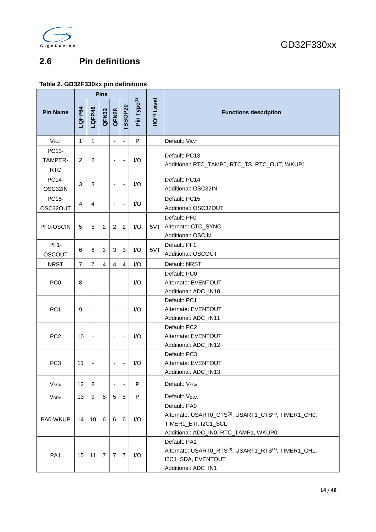

### <span id="page-14-0"></span>**2.6 Pin definitions**

### <span id="page-14-1"></span>**Table 2. GD32F330xx pin definitions**

|                                |                                                      |                          | <b>Pins</b>                                         |                              |                              |     |     |                                                                                                                                                                 |
|--------------------------------|------------------------------------------------------|--------------------------|-----------------------------------------------------|------------------------------|------------------------------|-----|-----|-----------------------------------------------------------------------------------------------------------------------------------------------------------------|
| <b>Pin Name</b>                | <b>TSSOP20</b><br>LQFP48<br>LQFP64<br>QFN28<br>QFN32 |                          | Pin Type <sup>(1)</sup><br>I/O <sup>(2)</sup> Level |                              | <b>Functions description</b> |     |     |                                                                                                                                                                 |
| V <sub>BAT</sub>               | $\mathbf{1}$                                         | $\mathbf{1}$             |                                                     | ä,                           |                              | P   |     | Default: V <sub>BAT</sub>                                                                                                                                       |
| PC13-<br>TAMPER-<br><b>RTC</b> | $\overline{c}$                                       | 2                        |                                                     | Ĭ.                           | $\overline{\phantom{a}}$     | 1/O |     | Default: PC13<br>Additional: RTC_TAMP0, RTC_TS, RTC_OUT, WKUP1                                                                                                  |
| PC14-<br>OSC32IN               | 3                                                    | 3                        |                                                     | ÷,                           |                              | I/O |     | Default: PC14<br>Additional: OSC32IN                                                                                                                            |
| PC15-<br>OSC32OUT              | 4                                                    | 4                        |                                                     | ä,                           | $\overline{\phantom{a}}$     | I/O |     | Default: PC15<br>Additional: OSC32OUT                                                                                                                           |
| PF0-OSCIN                      | 5                                                    | 5                        | 2                                                   | 2                            | 2                            | I/O |     | Default: PF0<br>5VT Alternate: CTC_SYNC<br><b>Additional: OSCIN</b>                                                                                             |
| PF <sub>1</sub> -<br>OSCOUT    | 6                                                    | 6                        | 3                                                   | 3                            | 3                            | I/O | 5VT | Default: PF1<br>Additional: OSCOUT                                                                                                                              |
| <b>NRST</b>                    | $\overline{7}$                                       | $\overline{7}$           | $\overline{4}$                                      | $\overline{4}$               | $\overline{4}$               | I/O |     | Default: NRST                                                                                                                                                   |
| PC <sub>0</sub>                | 8                                                    |                          |                                                     |                              |                              | I/O |     | Default: PC0<br>Alternate: EVENTOUT<br>Additional: ADC_IN10                                                                                                     |
| PC <sub>1</sub>                | 9                                                    |                          |                                                     | ÷,                           |                              | I/O |     | Default: PC1<br>Alternate: EVENTOUT<br>Additional: ADC_IN11                                                                                                     |
| PC <sub>2</sub>                | 10                                                   | $\overline{\phantom{a}}$ |                                                     | $\qquad \qquad \blacksquare$ | $\overline{\phantom{a}}$     | I/O |     | Default: PC2<br>Alternate: EVENTOUT<br>Additional: ADC_IN12                                                                                                     |
| PC <sub>3</sub>                | 11                                                   |                          |                                                     | ٠                            | $\overline{\phantom{a}}$     | I/O |     | Default: PC3<br>Alternate: EVENTOUT<br>Additional: ADC_IN13                                                                                                     |
| <b>Vssa</b>                    | 12                                                   | 8                        |                                                     |                              |                              | P   |     | Default: Vssa                                                                                                                                                   |
| <b>V</b> <sub>DDA</sub>        | 13                                                   | $9\,$                    | $5\phantom{.0}$                                     | 5                            | 5                            | P   |     | Default: V <sub>DDA</sub>                                                                                                                                       |
| PA0-WKUP                       | 14                                                   | 10                       | 6                                                   | 6                            | 6                            | I/O |     | Default: PA0<br>Alternate: USART0_CTS <sup>(3)</sup> , USART1_CTS <sup>(4)</sup> , TIMER1_CH0,<br>TIMER1_ETI, I2C1_SCL<br>Additional: ADC_IN0, RTC_TAMP1, WKUP0 |
| PA <sub>1</sub>                | 15                                                   | 11                       | $\overline{7}$                                      | $\overline{7}$               | 7                            | I/O |     | Default: PA1<br>Alternate: USART0_RTS <sup>(3)</sup> , USART1_RTS <sup>(4)</sup> , TIMER1_CH1,<br>I2C1_SDA, EVENTOUT<br>Additional: ADC_IN1                     |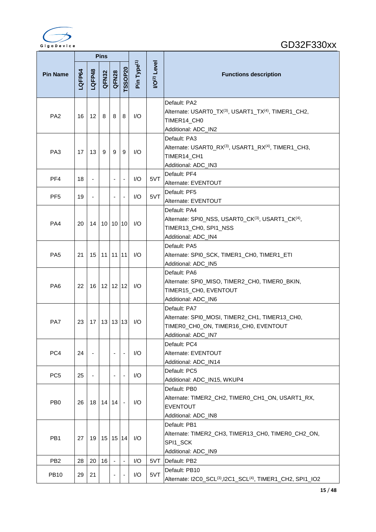

| <b>Pins</b>     |        |                          |       |                          |                          |                         |                                |                                                                                                                               |
|-----------------|--------|--------------------------|-------|--------------------------|--------------------------|-------------------------|--------------------------------|-------------------------------------------------------------------------------------------------------------------------------|
| <b>Pin Name</b> | LQFP64 | LQFP48                   | QFN32 | QFN28                    | TSSOP20                  | Pin Type <sup>(1)</sup> | <b>I/O<sup>(2)</sup> Level</b> | <b>Functions description</b>                                                                                                  |
| PA <sub>2</sub> | 16     | 12                       | 8     | 8                        | 8                        | I/O                     |                                | Default: PA2<br>Alternate: USART0_TX(3), USART1_TX(4), TIMER1_CH2,<br>TIMER14_CH0<br>Additional: ADC_IN2                      |
| PA <sub>3</sub> | 17     | 13                       | 9     | 9                        | 9                        | I/O                     |                                | Default: PA3<br>Alternate: USART0_RX(3), USART1_RX(4), TIMER1_CH3,<br>TIMER14_CH1<br>Additional: ADC_IN3                      |
| PF <sub>4</sub> | 18     | $\overline{\phantom{a}}$ |       | ÷,                       |                          | I/O                     | 5VT                            | Default: PF4<br>Alternate: EVENTOUT                                                                                           |
| PF <sub>5</sub> | 19     | $\overline{\phantom{0}}$ |       |                          |                          | I/O                     | 5VT                            | Default: PF5<br>Alternate: EVENTOUT                                                                                           |
| PA4             | 20     | 14                       |       | 10 10 10                 |                          | I/O                     |                                | Default: PA4<br>Alternate: SPI0_NSS, USART0_CK(3), USART1_CK(4),<br>TIMER13_CH0, SPI1_NSS<br>Additional: ADC_IN4              |
| PA <sub>5</sub> | 21     | 15                       |       | $11$   11   11           |                          | I/O                     |                                | Default: PA5<br>Alternate: SPI0_SCK, TIMER1_CH0, TIMER1_ETI<br>Additional: ADC_IN5                                            |
| PA <sub>6</sub> | 22     | 16                       |       | $12$   12   12           |                          | I/O                     |                                | Default: PA6<br>Alternate: SPI0_MISO, TIMER2_CH0, TIMER0_BKIN,<br>TIMER15_CH0, EVENTOUT<br>Additional: ADC_IN6                |
| PA7             | 23     | 17                       |       | 13 13 13                 |                          | I/O                     |                                | Default: PA7<br>Alternate: SPI0_MOSI, TIMER2_CH1, TIMER13_CH0,<br>TIMER0_CH0_ON, TIMER16_CH0, EVENTOUT<br>Additional: ADC_IN7 |
| PC4             | 24     | $\overline{\phantom{a}}$ |       |                          |                          | I/O                     |                                | Default: PC4<br>Alternate: EVENTOUT<br>Additional: ADC_IN14                                                                   |
| PC <sub>5</sub> | 25     | $\overline{\phantom{0}}$ |       | ٠                        |                          | I/O                     |                                | Default: PC5<br>Additional: ADC_IN15, WKUP4                                                                                   |
| PB <sub>0</sub> | 26     | 18                       |       | 14 14                    | $\sim$                   | 1/O                     |                                | Default: PB0<br>Alternate: TIMER2_CH2, TIMER0_CH1_ON, USART1_RX,<br><b>EVENTOUT</b><br>Additional: ADC_IN8                    |
| PB1             | 27     | 19                       |       | 15 15 14                 |                          | I/O                     |                                | Default: PB1<br>Alternate: TIMER2_CH3, TIMER13_CH0, TIMER0_CH2_ON,<br>SPI1_SCK<br>Additional: ADC_IN9                         |
| PB <sub>2</sub> | 28     | 20                       | 16    | $\blacksquare$           | $\overline{\phantom{a}}$ | I/O                     | 5VT                            | Default: PB2                                                                                                                  |
| <b>PB10</b>     | 29     | 21                       |       | $\overline{\phantom{a}}$ |                          | I/O                     | 5VT                            | Default: PB10<br>Alternate: I2C0_SCL <sup>(3)</sup> ,I2C1_SCL <sup>(4)</sup> , TIMER1_CH2, SPI1_IO2                           |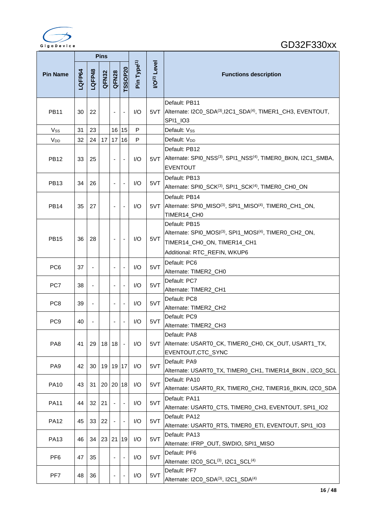

|                       |        |                          | <b>Pins</b> |                          |                          |                         |                               |                                                                                                                                                                 |  |
|-----------------------|--------|--------------------------|-------------|--------------------------|--------------------------|-------------------------|-------------------------------|-----------------------------------------------------------------------------------------------------------------------------------------------------------------|--|
| <b>Pin Name</b>       | LQFP64 | LQFP48                   | QFN32       | QFN28                    | TSSOP20                  | Pin Type <sup>(1)</sup> | <b>VO<sup>(2)</sup></b> Level | <b>Functions description</b>                                                                                                                                    |  |
| <b>PB11</b>           | 30     | 22                       |             | $\blacksquare$           | $\overline{\phantom{a}}$ | I/O                     | 5VT                           | Default: PB11<br>Alternate: I2C0_SDA(3),I2C1_SDA(4), TIMER1_CH3, EVENTOUT,<br>SPI1_IO3                                                                          |  |
| V <sub>ss</sub>       | 31     | 23                       |             | 16                       | 15                       | P                       |                               | Default: Vss                                                                                                                                                    |  |
| <b>V<sub>DD</sub></b> | 32     | 24                       | 17          | 17                       | 16                       | P                       |                               | Default: V <sub>DD</sub>                                                                                                                                        |  |
| PB12                  | 33     | 25                       |             | ÷,                       |                          | 1/O                     |                               | Default: PB12<br>5VT Alternate: SPI0_NSS(3), SPI1_NSS(4), TIMER0_BKIN, I2C1_SMBA,<br><b>EVENTOUT</b>                                                            |  |
| <b>PB13</b>           | 34     | 26                       |             | $\blacksquare$           | $\blacksquare$           | 1/O                     | 5VT                           | Default: PB13<br>Alternate: SPI0_SCK(3), SPI1_SCK(4), TIMER0_CH0_ON                                                                                             |  |
| <b>PB14</b>           | 35     | 27                       |             | $\blacksquare$           | $\overline{\phantom{a}}$ | I/O                     |                               | Default: PB14<br>5VT Alternate: SPI0_MISO(3), SPI1_MISO(4), TIMERO_CH1_ON,<br>TIMER14_CH0                                                                       |  |
| <b>PB15</b>           | 36     | 28                       |             | $\overline{\phantom{a}}$ | $\overline{\phantom{a}}$ | I/O                     | 5VT                           | Default: PB15<br>Alternate: SPI0_MOSI <sup>(3)</sup> , SPI1_MOSI <sup>(4)</sup> , TIMER0_CH2_ON,<br>TIMER14_CH0_ON, TIMER14_CH1<br>Additional: RTC_REFIN, WKUP6 |  |
| PC <sub>6</sub>       | 37     | $\overline{\phantom{a}}$ |             | $\blacksquare$           | $\overline{\phantom{a}}$ | I/O                     | 5VT                           | Default: PC6<br>Alternate: TIMER2_CH0                                                                                                                           |  |
| PC7                   | 38     | $\overline{\phantom{a}}$ |             | $\overline{\phantom{a}}$ | $\overline{\phantom{a}}$ | I/O                     | 5VT                           | Default: PC7<br>Alternate: TIMER2_CH1                                                                                                                           |  |
| PC <sub>8</sub>       | 39     |                          |             |                          |                          | 1/O                     | 5VT                           | Default: PC8<br>Alternate: TIMER2_CH2                                                                                                                           |  |
| PC <sub>9</sub>       | 40     | ä,                       |             |                          |                          | I/O                     | 5VT                           | Default: PC9<br>Alternate: TIMER2_CH3                                                                                                                           |  |
| PA <sub>8</sub>       | 41     | 29                       | 18          | 18                       |                          | I/O                     |                               | Default: PA8<br>5VT Alternate: USARTO_CK, TIMERO_CHO, CK_OUT, USART1_TX,<br>EVENTOUT, CTC_SYNC                                                                  |  |
| PA <sub>9</sub>       | 42     | 30                       | 19          |                          | 19 17                    | I/O                     | 5VT                           | Default: PA9<br>Alternate: USART0_TX, TIMER0_CH1, TIMER14_BKIN, I2C0_SCL                                                                                        |  |
| <b>PA10</b>           | 43     | 31                       | 20          |                          | 20 18                    | I/O                     | 5VT                           | Default: PA10<br>Alternate: USART0_RX, TIMER0_CH2, TIMER16_BKIN, I2C0_SDA                                                                                       |  |
| <b>PA11</b>           | 44     | 32                       | 21          | $\blacksquare$           |                          | I/O                     | 5VT                           | Default: PA11<br>Alternate: USART0_CTS, TIMER0_CH3, EVENTOUT, SPI1_IO2                                                                                          |  |
| <b>PA12</b>           | 45     | 33                       | 22          |                          |                          | I/O                     | 5VT                           | Default: PA12<br>Alternate: USART0_RTS, TIMER0_ETI, EVENTOUT, SPI1_IO3                                                                                          |  |
| <b>PA13</b>           | 46     | 34                       |             | 23 21                    | 19                       | I/O                     | 5VT                           | Default: PA13<br>Alternate: IFRP_OUT, SWDIO, SPI1_MISO                                                                                                          |  |
| PF <sub>6</sub>       | 47     | 35                       |             | ä,                       |                          | I/O                     | 5VT                           | Default: PF6<br>Alternate: I2C0_SCL(3), I2C1_SCL(4)                                                                                                             |  |
| PF7                   | 48     | 36                       |             |                          |                          | I/O                     | 5VT                           | Default: PF7<br>Alternate: I2C0_SDA(3), I2C1_SDA(4)                                                                                                             |  |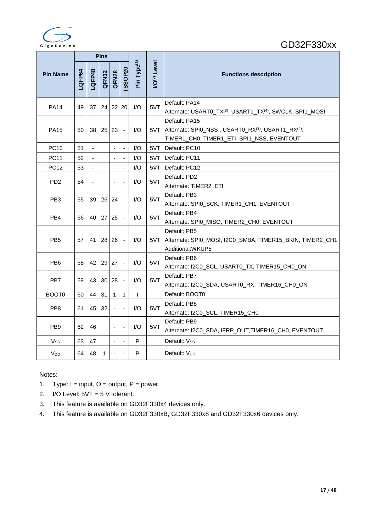

|                       |        |                | <b>Pins</b>     |                          |                          |                         |                    |                                                                                                                     |
|-----------------------|--------|----------------|-----------------|--------------------------|--------------------------|-------------------------|--------------------|---------------------------------------------------------------------------------------------------------------------|
| <b>Pin Name</b>       | LQFP64 | LQFP48         | QFN32           | QFN28                    | TSSOP20                  | Pin Type <sup>(1)</sup> | <b>VO(2)</b> Level | <b>Functions description</b>                                                                                        |
| <b>PA14</b>           | 49     | 37             | 24 <sup>1</sup> |                          | 22 20                    | I/O                     | 5VT                | Default: PA14<br>Alternate: USART0_TX(3), USART1_TX(4), SWCLK, SPI1_MOSI                                            |
| <b>PA15</b>           | 50     | 38             | 25 <sub>1</sub> | 23                       |                          | 1/O                     |                    | Default: PA15<br>5VT Alternate: SPI0_NSS, USART0_RX(3), USART1_RX(4),<br>TIMER1_CH0, TIMER1_ETI, SPI1_NSS, EVENTOUT |
| <b>PC10</b>           | 51     | $\blacksquare$ |                 | $\overline{\phantom{a}}$ | $\overline{\phantom{a}}$ | 1/O                     | 5VT                | Default: PC10                                                                                                       |
| <b>PC11</b>           | 52     |                |                 |                          |                          | 1/O                     |                    | 5VT Default: PC11                                                                                                   |
| <b>PC12</b>           | 53     |                |                 |                          | $\blacksquare$           | I/O                     | 5VT                | Default: PC12                                                                                                       |
| PD <sub>2</sub>       | 54     | $\blacksquare$ |                 | $\overline{\phantom{a}}$ | $\overline{\phantom{a}}$ | 1/O                     | 5VT                | Default: PD2<br>Alternate: TIMER2_ETI                                                                               |
| PB <sub>3</sub>       | 55     | 39             | 26 <sup>1</sup> | 24                       |                          | 1/O                     | 5VT                | Default: PB3<br>Alternate: SPI0_SCK, TIMER1_CH1, EVENTOUT                                                           |
| PB4                   | 56     | 40             | 27              | 25                       | $\overline{\phantom{a}}$ | 1/O                     | 5VT                | Default: PB4<br>Alternate: SPI0_MISO, TIMER2_CH0, EVENTOUT                                                          |
| PB <sub>5</sub>       | 57     | 41             | 28 I            | 26                       |                          | 1/O                     |                    | Default: PB5<br>5VT Alternate: SPI0_MOSI, I2C0_SMBA, TIMER15_BKIN, TIMER2_CH1<br>Additional:WKUP5                   |
| PB <sub>6</sub>       | 58     |                | 42 29           | 27                       | $\overline{\phantom{a}}$ | 1/O                     | 5VT                | Default: PB6<br>Alternate: I2C0_SCL, USART0_TX, TIMER15_CH0_ON                                                      |
| PB <sub>7</sub>       | 59     | 43             | 30 <sup>1</sup> | 28                       |                          | 1/O                     | 5VT                | Default: PB7<br>Alternate: I2C0_SDA, USART0_RX, TIMER16_CH0_ON                                                      |
| BOOT <sub>0</sub>     | 60     | 44             | 31              | $\mathbf{1}$             | 1                        | $\mathsf{I}$            |                    | Default: BOOT0                                                                                                      |
| PB <sub>8</sub>       | 61     | 45             | 32              | $\blacksquare$           | $\overline{\phantom{a}}$ | 1/O                     | 5VT                | Default: PB8<br>Alternate: I2C0_SCL, TIMER15_CH0                                                                    |
| PB <sub>9</sub>       | 62     | 46             |                 | $\overline{\phantom{a}}$ | $\overline{\phantom{a}}$ | 1/O                     | 5VT                | Default: PB9<br>Alternate: I2C0_SDA, IFRP_OUT, TIMER16_CH0, EVENTOUT                                                |
| Vss                   | 63     | 47             |                 | $\blacksquare$           | $\blacksquare$           | P                       |                    | Default: Vss                                                                                                        |
| <b>V<sub>DD</sub></b> | 64     | 48             | $\mathbf{1}$    | $\blacksquare$           |                          | P                       |                    | Default: V <sub>DD</sub>                                                                                            |

#### Notes:

- 1. Type:  $I = input$ ,  $O = output$ ,  $P = power$ .
- 2. I/O Level:  $5VT = 5 V$  tolerant.
- 3. This feature is available on GD32F330x4 devices only.
- 4. This feature is available on GD32F330xB, GD32F330x8 and GD32F330x6 devices only.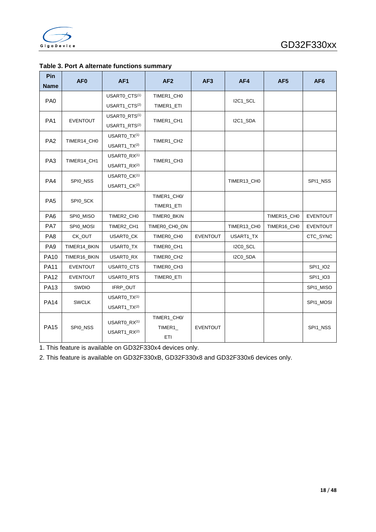| Pin<br><b>Name</b> | AF <sub>0</sub> | AF <sub>1</sub>                                      | AF2                           | AF3             | AF4         | AF <sub>5</sub> | AF <sub>6</sub> |
|--------------------|-----------------|------------------------------------------------------|-------------------------------|-----------------|-------------|-----------------|-----------------|
|                    |                 | USART0_CTS(1)                                        | TIMER1_CH0                    |                 |             |                 |                 |
| PA <sub>0</sub>    |                 | USART1_CTS(2)                                        | TIMER1_ETI                    |                 | I2C1_SCL    |                 |                 |
| PA <sub>1</sub>    | <b>EVENTOUT</b> | USARTO RTS <sup>(1)</sup>                            | TIMER1_CH1                    |                 |             |                 |                 |
|                    |                 | USART1 RTS(2)                                        |                               |                 | I2C1_SDA    |                 |                 |
| PA <sub>2</sub>    | TIMER14_CH0     | USARTO TX(1)                                         | TIMER1_CH2                    |                 |             |                 |                 |
|                    |                 | USART1 TX(2)                                         |                               |                 |             |                 |                 |
| PA <sub>3</sub>    | TIMER14_CH1     | USART0_RX <sup>(1)</sup>                             | TIMER1_CH3                    |                 |             |                 |                 |
|                    |                 | USART1 RX(2)                                         |                               |                 |             |                 |                 |
| PA4                | SPI0_NSS        | USART0 CK(1)                                         |                               |                 | TIMER13_CH0 |                 | SPI1_NSS        |
|                    |                 | USART1_CK <sup>(2)</sup>                             |                               |                 |             |                 |                 |
|                    | SPI0_SCK        |                                                      | TIMER1_CH0/                   |                 |             |                 |                 |
| PA <sub>5</sub>    |                 |                                                      | TIMER1 ETI                    |                 |             |                 |                 |
| PA <sub>6</sub>    | SPI0_MISO       | TIMER2_CH0                                           | TIMERO_BKIN                   |                 |             | TIMER15_CH0     | <b>EVENTOUT</b> |
| PA7                | SPI0_MOSI       | TIMER2_CH1                                           | TIMERO_CHO_ON                 |                 | TIMER13_CH0 | TIMER16_CH0     | <b>EVENTOUT</b> |
| PA <sub>8</sub>    | CK_OUT          | USART0_CK                                            | TIMER0_CH0                    | <b>EVENTOUT</b> | USART1_TX   |                 | CTC_SYNC        |
| PA <sub>9</sub>    | TIMER14_BKIN    | <b>USARTO TX</b>                                     | TIMER0_CH1                    |                 | I2C0 SCL    |                 |                 |
| <b>PA10</b>        | TIMER16_BKIN    | USART0_RX                                            | TIMER0_CH2                    |                 | I2C0_SDA    |                 |                 |
| <b>PA11</b>        | <b>EVENTOUT</b> | USART0_CTS                                           | TIMER0_CH3                    |                 |             |                 | SPI1_IO2        |
| <b>PA12</b>        | <b>EVENTOUT</b> | USART0_RTS                                           | TIMERO_ETI                    |                 |             |                 | SPI1_IO3        |
| <b>PA13</b>        | SWDIO           | IFRP_OUT                                             |                               |                 |             |                 | SPI1_MISO       |
|                    | <b>SWCLK</b>    | USARTO_TX(1)                                         |                               |                 |             |                 |                 |
| <b>PA14</b>        |                 | $USART1_TX^{(2)}$                                    |                               |                 |             |                 | SPI1_MOSI       |
| <b>PA15</b>        | SPI0_NSS        | USART0_RX <sup>(1)</sup><br>USART1_RX <sup>(2)</sup> | TIMER1 CHO/<br>TIMER1_<br>ETI | <b>EVENTOUT</b> |             |                 | SPI1_NSS        |

#### <span id="page-18-0"></span>**Table 3. Port A alternate functions summary**

1. This feature is available on GD32F330x4 devices only.

2. This feature is available on GD32F330xB, GD32F330x8 and GD32F330x6 devices only.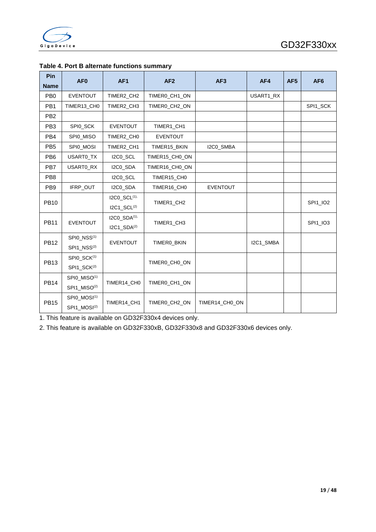

| Pin<br><b>Name</b> | AF <sub>0</sub>          | AF <sub>1</sub>                     | AF <sub>2</sub> | AF <sub>3</sub> | AF4       | AF <sub>5</sub> | AF <sub>6</sub> |
|--------------------|--------------------------|-------------------------------------|-----------------|-----------------|-----------|-----------------|-----------------|
| PB <sub>0</sub>    | <b>EVENTOUT</b>          | TIMER2_CH2                          | TIMER0_CH1_ON   |                 | USART1_RX |                 |                 |
| PB <sub>1</sub>    | TIMER13 CH0              | TIMER2 CH3                          | TIMERO CH2 ON   |                 |           |                 | SPI1_SCK        |
| PB <sub>2</sub>    |                          |                                     |                 |                 |           |                 |                 |
| PB <sub>3</sub>    | SPI0_SCK                 | <b>EVENTOUT</b>                     | TIMER1_CH1      |                 |           |                 |                 |
| PB <sub>4</sub>    | SPI0_MISO                | TIMER2_CH0                          | <b>EVENTOUT</b> |                 |           |                 |                 |
| PB <sub>5</sub>    | SPI0_MOSI                | TIMER2 CH1                          | TIMER15 BKIN    | I2C0_SMBA       |           |                 |                 |
| PB <sub>6</sub>    | USARTO_TX                | I2C0_SCL                            | TIMER15_CH0_ON  |                 |           |                 |                 |
| PB7                | USART0_RX                | I2C0 SDA                            | TIMER16 CH0 ON  |                 |           |                 |                 |
| PB <sub>8</sub>    |                          | I2C0 SCL                            | TIMER15 CH0     |                 |           |                 |                 |
| PB <sub>9</sub>    | IFRP_OUT                 | I2C0_SDA                            | TIMER16_CH0     | <b>EVENTOUT</b> |           |                 |                 |
| <b>PB10</b>        |                          | I2C0_SCL(1),                        | TIMER1_CH2      |                 |           |                 | SPI1_IO2        |
|                    |                          | $IC1$ <sub>_SCL<sup>(2)</sup></sub> |                 |                 |           |                 |                 |
| <b>PB11</b>        | <b>EVENTOUT</b>          | I2C0_SDA(1),                        | TIMER1_CH3      |                 |           |                 | SPI1_IO3        |
|                    |                          | $IC1$ _SDA $(2)$                    |                 |                 |           |                 |                 |
| <b>PB12</b>        | SPI0_NSS <sup>(1)</sup>  | <b>EVENTOUT</b>                     | TIMERO_BKIN     |                 | I2C1_SMBA |                 |                 |
|                    | SPI1 NSS <sup>(2)</sup>  |                                     |                 |                 |           |                 |                 |
| <b>PB13</b>        | SPI0_SCK(1)              |                                     | TIMERO CHO ON   |                 |           |                 |                 |
|                    | SPI1_SCK <sup>(2)</sup>  |                                     |                 |                 |           |                 |                 |
| <b>PB14</b>        | SPI0_MISO <sup>(1)</sup> | TIMER14 CH0                         | TIMERO CH1 ON   |                 |           |                 |                 |
|                    | SPI1_MISO <sup>(2)</sup> |                                     |                 |                 |           |                 |                 |
| <b>PB15</b>        | SPI0_MOSI <sup>(1)</sup> | TIMER14_CH1                         | TIMER0_CH2_ON   | TIMER14_CH0_ON  |           |                 |                 |
|                    | SPI1_MOSI <sup>(2)</sup> |                                     |                 |                 |           |                 |                 |

#### <span id="page-19-0"></span>**Table 4. Port B alternate functions summary**

1. This feature is available on GD32F330x4 devices only.

2. This feature is available on GD32F330xB, GD32F330x8 and GD32F330x6 devices only.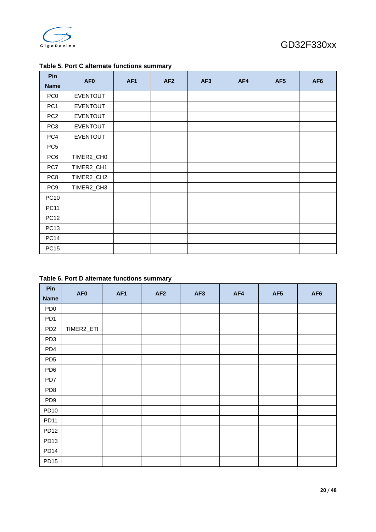

| Pin             | AF <sub>0</sub> | AF <sub>1</sub> | AF2 | AF <sub>3</sub> | AF4 | AF <sub>5</sub> | AF <sub>6</sub> |
|-----------------|-----------------|-----------------|-----|-----------------|-----|-----------------|-----------------|
| <b>Name</b>     |                 |                 |     |                 |     |                 |                 |
| PC <sub>0</sub> | <b>EVENTOUT</b> |                 |     |                 |     |                 |                 |
| PC <sub>1</sub> | <b>EVENTOUT</b> |                 |     |                 |     |                 |                 |
| PC <sub>2</sub> | <b>EVENTOUT</b> |                 |     |                 |     |                 |                 |
| PC <sub>3</sub> | <b>EVENTOUT</b> |                 |     |                 |     |                 |                 |
| PC4             | <b>EVENTOUT</b> |                 |     |                 |     |                 |                 |
| PC <sub>5</sub> |                 |                 |     |                 |     |                 |                 |
| PC <sub>6</sub> | TIMER2_CH0      |                 |     |                 |     |                 |                 |
| PC7             | TIMER2_CH1      |                 |     |                 |     |                 |                 |
| PC <sub>8</sub> | TIMER2_CH2      |                 |     |                 |     |                 |                 |
| PC <sub>9</sub> | TIMER2_CH3      |                 |     |                 |     |                 |                 |
| <b>PC10</b>     |                 |                 |     |                 |     |                 |                 |
| <b>PC11</b>     |                 |                 |     |                 |     |                 |                 |
| <b>PC12</b>     |                 |                 |     |                 |     |                 |                 |
| <b>PC13</b>     |                 |                 |     |                 |     |                 |                 |
| <b>PC14</b>     |                 |                 |     |                 |     |                 |                 |
| <b>PC15</b>     |                 |                 |     |                 |     |                 |                 |

#### <span id="page-20-0"></span>**Table 5. Port C alternate functions summary**

#### <span id="page-20-1"></span>**Table 6. Port D alternate functions summary**

| Pin              | AF <sub>0</sub> | AF <sub>1</sub> | AF <sub>2</sub> | AF3 | AF4 | AF5 | AF <sub>6</sub> |
|------------------|-----------------|-----------------|-----------------|-----|-----|-----|-----------------|
| <b>Name</b>      |                 |                 |                 |     |     |     |                 |
| PD <sub>0</sub>  |                 |                 |                 |     |     |     |                 |
| PD <sub>1</sub>  |                 |                 |                 |     |     |     |                 |
| PD <sub>2</sub>  | TIMER2_ETI      |                 |                 |     |     |     |                 |
| PD <sub>3</sub>  |                 |                 |                 |     |     |     |                 |
| PD4              |                 |                 |                 |     |     |     |                 |
| PD <sub>5</sub>  |                 |                 |                 |     |     |     |                 |
| PD <sub>6</sub>  |                 |                 |                 |     |     |     |                 |
| PD7              |                 |                 |                 |     |     |     |                 |
| PD <sub>8</sub>  |                 |                 |                 |     |     |     |                 |
| PD <sub>9</sub>  |                 |                 |                 |     |     |     |                 |
| <b>PD10</b>      |                 |                 |                 |     |     |     |                 |
| <b>PD11</b>      |                 |                 |                 |     |     |     |                 |
| <b>PD12</b>      |                 |                 |                 |     |     |     |                 |
| PD <sub>13</sub> |                 |                 |                 |     |     |     |                 |
| PD <sub>14</sub> |                 |                 |                 |     |     |     |                 |
| PD <sub>15</sub> |                 |                 |                 |     |     |     |                 |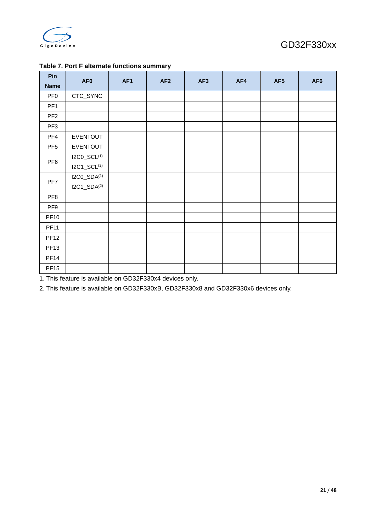

| Pin             | AF <sub>0</sub>         | AF <sub>1</sub> | AF <sub>2</sub> | AF <sub>3</sub> | AF4 | AF <sub>5</sub> | AF <sub>6</sub> |
|-----------------|-------------------------|-----------------|-----------------|-----------------|-----|-----------------|-----------------|
| <b>Name</b>     |                         |                 |                 |                 |     |                 |                 |
| PF <sub>0</sub> | CTC_SYNC                |                 |                 |                 |     |                 |                 |
| PF <sub>1</sub> |                         |                 |                 |                 |     |                 |                 |
| PF <sub>2</sub> |                         |                 |                 |                 |     |                 |                 |
| PF <sub>3</sub> |                         |                 |                 |                 |     |                 |                 |
| PF4             | <b>EVENTOUT</b>         |                 |                 |                 |     |                 |                 |
| PF <sub>5</sub> | <b>EVENTOUT</b>         |                 |                 |                 |     |                 |                 |
| PF <sub>6</sub> | I2C0_SCL(1)             |                 |                 |                 |     |                 |                 |
|                 | $IC1\_SCL^{(2)}$        |                 |                 |                 |     |                 |                 |
| PF7             | I2C0_SDA <sup>(1)</sup> |                 |                 |                 |     |                 |                 |
|                 | $IC1$ _SDA $(2)$        |                 |                 |                 |     |                 |                 |
| PF <sub>8</sub> |                         |                 |                 |                 |     |                 |                 |
| PF9             |                         |                 |                 |                 |     |                 |                 |
| <b>PF10</b>     |                         |                 |                 |                 |     |                 |                 |
| <b>PF11</b>     |                         |                 |                 |                 |     |                 |                 |
| <b>PF12</b>     |                         |                 |                 |                 |     |                 |                 |
| <b>PF13</b>     |                         |                 |                 |                 |     |                 |                 |
| <b>PF14</b>     |                         |                 |                 |                 |     |                 |                 |
| <b>PF15</b>     |                         |                 |                 |                 |     |                 |                 |

#### <span id="page-21-0"></span>**Table 7. Port F alternate functions summary**

1. This feature is available on GD32F330x4 devices only.

2. This feature is available on GD32F330xB, GD32F330x8 and GD32F330x6 devices only.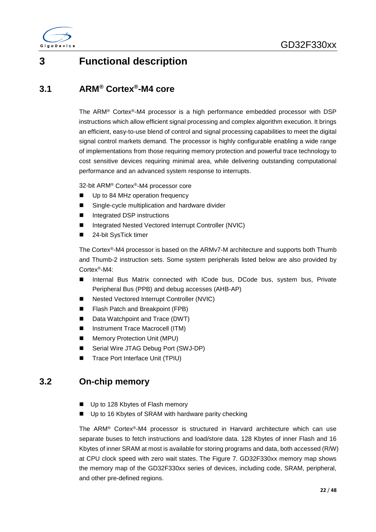

### <span id="page-22-0"></span>**3 Functional description**

### <span id="page-22-1"></span>**3.1 ARM® Cortex®-M4 core**

The ARM® Cortex®-M4 processor is a high performance embedded processor with DSP instructions which allow efficient signal processing and complex algorithm execution. It brings an efficient, easy-to-use blend of control and signal processing capabilities to meet the digital signal control markets demand. The processor is highly configurable enabling a wide range of implementations from those requiring memory protection and powerful trace technology to cost sensitive devices requiring minimal area, while delivering outstanding computational performance and an advanced system response to interrupts.

32-bit ARM® Cortex®-M4 processor core

- Up to 84 MHz operation frequency
- Single-cycle multiplication and hardware divider
- Integrated DSP instructions
- Integrated Nested Vectored Interrupt Controller (NVIC)
- 24-bit SysTick timer

The Cortex®-M4 processor is based on the ARMv7-M architecture and supports both Thumb and Thumb-2 instruction sets. Some system peripherals listed below are also provided by Cortex®-M4:

- Internal Bus Matrix connected with ICode bus, DCode bus, system bus, Private Peripheral Bus (PPB) and debug accesses (AHB-AP)
- Nested Vectored Interrupt Controller (NVIC)
- Flash Patch and Breakpoint (FPB)
- Data Watchpoint and Trace (DWT)
- Instrument Trace Macrocell (ITM)
- **Memory Protection Unit (MPU)**
- Serial Wire JTAG Debug Port (SWJ-DP)
- Trace Port Interface Unit (TPIU)

### <span id="page-22-2"></span>**3.2 On-chip memory**

- Up to 128 Kbytes of Flash memory
- Up to 16 Kbytes of SRAM with hardware parity checking

The ARM® Cortex®-M4 processor is structured in Harvard architecture which can use separate buses to fetch instructions and load/store data. 128 Kbytes of inner Flash and 16 Kbytes of inner SRAM at most is available for storing programs and data, both accessed (R/W) at CPU clock speed with zero wait states. The Figure 7. GD32F330xx memory map shows the memory map of the GD32F330xx series of devices, including code, SRAM, peripheral, and other pre-defined regions.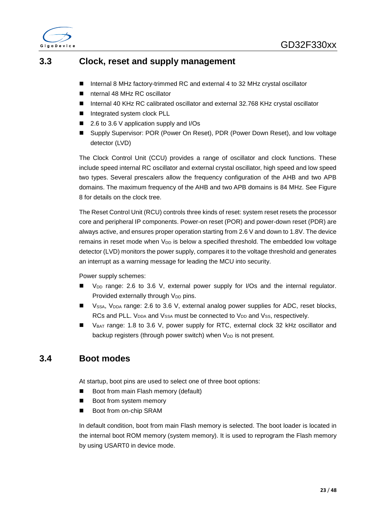

### <span id="page-23-0"></span>**3.3 Clock, reset and supply management**

- Internal 8 MHz factory-trimmed RC and external 4 to 32 MHz crystal oscillator
- nternal 48 MHz RC oscillator
- Internal 40 KHz RC calibrated oscillator and external 32.768 KHz crystal oscillator
- Integrated system clock PLL
- 2.6 to 3.6 V application supply and I/Os
- Supply Supervisor: POR (Power On Reset), PDR (Power Down Reset), and low voltage detector (LVD)

The Clock Control Unit (CCU) provides a range of oscillator and clock functions. These include speed internal RC oscillator and external crystal oscillator, high speed and low speed two types. Several prescalers allow the frequency configuration of the AHB and two APB domains. The maximum frequency of the AHB and two APB domains is 84 MHz. See Figure 8 for details on the clock tree.

The Reset Control Unit (RCU) controls three kinds of reset: system reset resets the processor core and peripheral IP components. Power-on reset (POR) and power-down reset (PDR) are always active, and ensures proper operation starting from 2.6 V and down to 1.8V. The device remains in reset mode when  $V_{\text{DD}}$  is below a specified threshold. The embedded low voltage detector (LVD) monitors the power supply, compares it to the voltage threshold and generates an interrupt as a warning message for leading the MCU into security.

Power supply schemes:

- V<sub>DD</sub> range: 2.6 to 3.6 V, external power supply for I/Os and the internal regulator. Provided externally through  $V_{DD}$  pins.
- Vssa, V<sub>DDA</sub> range: 2.6 to 3.6 V, external analog power supplies for ADC, reset blocks, RCs and PLL. V<sub>DDA</sub> and V<sub>SSA</sub> must be connected to V<sub>DD</sub> and V<sub>SS</sub>, respectively.
- V<sub>BAT</sub> range: 1.8 to 3.6 V, power supply for RTC, external clock 32 kHz oscillator and backup registers (through power switch) when  $V_{DD}$  is not present.

### <span id="page-23-1"></span>**3.4 Boot modes**

At startup, boot pins are used to select one of three boot options:

- Boot from main Flash memory (default)
- Boot from system memory
- Boot from on-chip SRAM

In default condition, boot from main Flash memory is selected. The boot loader is located in the internal boot ROM memory (system memory). It is used to reprogram the Flash memory by using USART0 in device mode.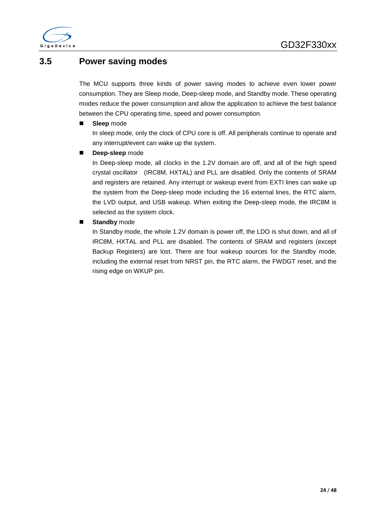

### <span id="page-24-0"></span>**3.5 Power saving modes**

The MCU supports three kinds of power saving modes to achieve even lower power consumption. They are Sleep mode, Deep-sleep mode, and Standby mode. These operating modes reduce the power consumption and allow the application to achieve the best balance between the CPU operating time, speed and power consumption.

#### **Sleep** mode

In sleep mode, only the clock of CPU core is off. All peripherals continue to operate and any interrupt/event can wake up the system.

**Deep-sleep** mode

In Deep-sleep mode, all clocks in the 1.2V domain are off, and all of the high speed crystal oscillator (IRC8M, HXTAL) and PLL are disabled. Only the contents of SRAM and registers are retained. Any interrupt or wakeup event from EXTI lines can wake up the system from the Deep-sleep mode including the 16 external lines, the RTC alarm, the LVD output, and USB wakeup. When exiting the Deep-sleep mode, the IRC8M is selected as the system clock.

#### **Standby** mode

In Standby mode, the whole 1.2V domain is power off, the LDO is shut down, and all of IRC8M, HXTAL and PLL are disabled. The contents of SRAM and registers (except Backup Registers) are lost. There are four wakeup sources for the Standby mode, including the external reset from NRST pin, the RTC alarm, the FWDGT reset, and the rising edge on WKUP pin.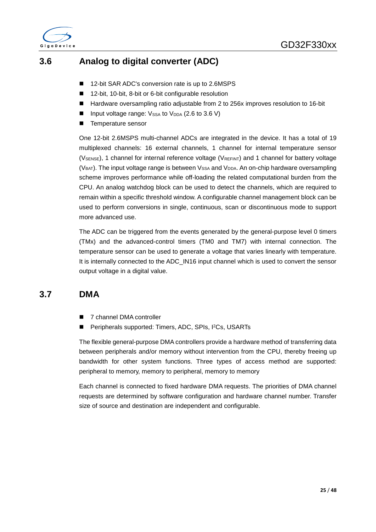

### <span id="page-25-0"></span>**3.6 Analog to digital converter (ADC)**

- 12-bit SAR ADC's conversion rate is up to 2.6MSPS
- 12-bit, 10-bit, 8-bit or 6-bit configurable resolution
- Hardware oversampling ratio adjustable from 2 to 256x improves resolution to 16-bit
- **Input voltage range:**  $V_{SSA}$  to  $V_{DDA}$  (2.6 to 3.6 V)
- Temperature sensor

One 12-bit 2.6MSPS multi-channel ADCs are integrated in the device. It has a total of 19 multiplexed channels: 16 external channels, 1 channel for internal temperature sensor (V<sub>SENSE</sub>), 1 channel for internal reference voltage (V<sub>REFINT</sub>) and 1 channel for battery voltage  $(V_{BAT})$ . The input voltage range is between  $V_{SSA}$  and  $V_{DDA}$ . An on-chip hardware oversampling scheme improves performance while off-loading the related computational burden from the CPU. An analog watchdog block can be used to detect the channels, which are required to remain within a specific threshold window. A configurable channel management block can be used to perform conversions in single, continuous, scan or discontinuous mode to support more advanced use.

The ADC can be triggered from the events generated by the general-purpose level 0 timers (TMx) and the advanced-control timers (TM0 and TM7) with internal connection. The temperature sensor can be used to generate a voltage that varies linearly with temperature. It is internally connected to the ADC\_IN16 input channel which is used to convert the sensor output voltage in a digital value.

### <span id="page-25-1"></span>**3.7 DMA**

- 7 channel DMA controller
- Peripherals supported: Timers, ADC, SPIs, I2Cs, USARTs

The flexible general-purpose DMA controllers provide a hardware method of transferring data between peripherals and/or memory without intervention from the CPU, thereby freeing up bandwidth for other system functions. Three types of access method are supported: peripheral to memory, memory to peripheral, memory to memory

Each channel is connected to fixed hardware DMA requests. The priorities of DMA channel requests are determined by software configuration and hardware channel number. Transfer size of source and destination are independent and configurable.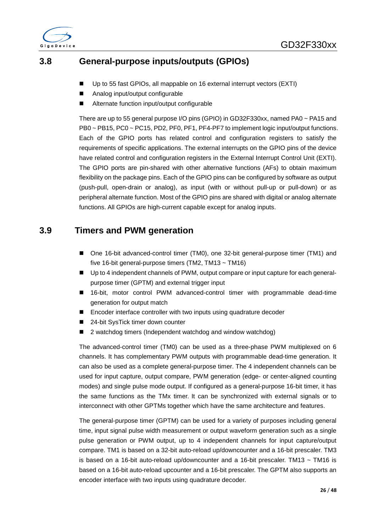

### <span id="page-26-0"></span>**3.8 General-purpose inputs/outputs (GPIOs)**

- Up to 55 fast GPIOs, all mappable on 16 external interrupt vectors (EXTI)
- Analog input/output configurable
- Alternate function input/output configurable

There are up to 55 general purpose I/O pins (GPIO) in GD32F330xx, named PA0 ~ PA15 and PB0 ~ PB15, PC0 ~ PC15, PD2, PF0, PF1, PF4-PF7 to implement logic input/output functions. Each of the GPIO ports has related control and configuration registers to satisfy the requirements of specific applications. The external interrupts on the GPIO pins of the device have related control and configuration registers in the External Interrupt Control Unit (EXTI). The GPIO ports are pin-shared with other alternative functions (AFs) to obtain maximum flexibility on the package pins. Each of the GPIO pins can be configured by software as output (push-pull, open-drain or analog), as input (with or without pull-up or pull-down) or as peripheral alternate function. Most of the GPIO pins are shared with digital or analog alternate functions. All GPIOs are high-current capable except for analog inputs.

### <span id="page-26-1"></span>**3.9 Timers and PWM generation**

- One 16-bit advanced-control timer (TM0), one 32-bit general-purpose timer (TM1) and five 16-bit general-purpose timers (TM2, TM13 ~ TM16)
- Up to 4 independent channels of PWM, output compare or input capture for each generalpurpose timer (GPTM) and external trigger input
- 16-bit, motor control PWM advanced-control timer with programmable dead-time generation for output match
- Encoder interface controller with two inputs using quadrature decoder
- 24-bit SysTick timer down counter
- 2 watchdog timers (Independent watchdog and window watchdog)

The advanced-control timer (TM0) can be used as a three-phase PWM multiplexed on 6 channels. It has complementary PWM outputs with programmable dead-time generation. It can also be used as a complete general-purpose timer. The 4 independent channels can be used for input capture, output compare, PWM generation (edge- or center-aligned counting modes) and single pulse mode output. If configured as a general-purpose 16-bit timer, it has the same functions as the TMx timer. It can be synchronized with external signals or to interconnect with other GPTMs together which have the same architecture and features.

The general-purpose timer (GPTM) can be used for a variety of purposes including general time, input signal pulse width measurement or output waveform generation such as a single pulse generation or PWM output, up to 4 independent channels for input capture/output compare. TM1 is based on a 32-bit auto-reload up/downcounter and a 16-bit prescaler. TM3 is based on a 16-bit auto-reload up/downcounter and a 16-bit prescaler. TM13  $\sim$  TM16 is based on a 16-bit auto-reload upcounter and a 16-bit prescaler. The GPTM also supports an encoder interface with two inputs using quadrature decoder.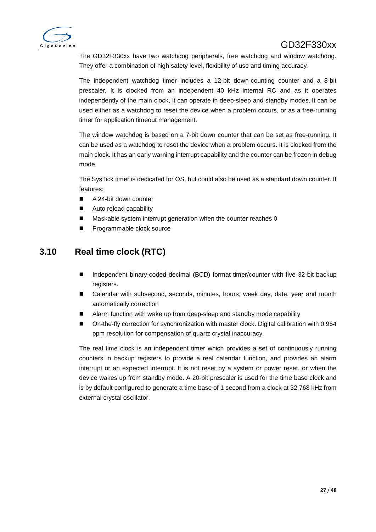

The GD32F330xx have two watchdog peripherals, free watchdog and window watchdog. They offer a combination of high safety level, flexibility of use and timing accuracy.

The independent watchdog timer includes a 12-bit down-counting counter and a 8-bit prescaler, It is clocked from an independent 40 kHz internal RC and as it operates independently of the main clock, it can operate in deep-sleep and standby modes. It can be used either as a watchdog to reset the device when a problem occurs, or as a free-running timer for application timeout management.

The window watchdog is based on a 7-bit down counter that can be set as free-running. It can be used as a watchdog to reset the device when a problem occurs. It is clocked from the main clock. It has an early warning interrupt capability and the counter can be frozen in debug mode.

The SysTick timer is dedicated for OS, but could also be used as a standard down counter. It features:

- A 24-bit down counter
- Auto reload capability
- Maskable system interrupt generation when the counter reaches 0
- Programmable clock source

### <span id="page-27-0"></span>**3.10 Real time clock (RTC)**

- Independent binary-coded decimal (BCD) format timer/counter with five 32-bit backup registers.
- Calendar with subsecond, seconds, minutes, hours, week day, date, year and month automatically correction
- Alarm function with wake up from deep-sleep and standby mode capability
- On-the-fly correction for synchronization with master clock. Digital calibration with 0.954 ppm resolution for compensation of quartz crystal inaccuracy.

The real time clock is an independent timer which provides a set of continuously running counters in backup registers to provide a real calendar function, and provides an alarm interrupt or an expected interrupt. It is not reset by a system or power reset, or when the device wakes up from standby mode. A 20-bit prescaler is used for the time base clock and is by default configured to generate a time base of 1 second from a clock at 32.768 kHz from external crystal oscillator.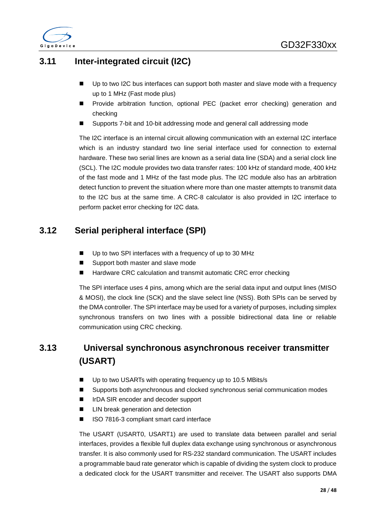

### <span id="page-28-0"></span>**3.11 Inter-integrated circuit (I2C)**

- Up to two I2C bus interfaces can support both master and slave mode with a frequency up to 1 MHz (Fast mode plus)
- Provide arbitration function, optional PEC (packet error checking) generation and checking
- Supports 7-bit and 10-bit addressing mode and general call addressing mode

The I2C interface is an internal circuit allowing communication with an external I2C interface which is an industry standard two line serial interface used for connection to external hardware. These two serial lines are known as a serial data line (SDA) and a serial clock line (SCL). The I2C module provides two data transfer rates: 100 kHz of standard mode, 400 kHz of the fast mode and 1 MHz of the fast mode plus. The I2C module also has an arbitration detect function to prevent the situation where more than one master attempts to transmit data to the I2C bus at the same time. A CRC-8 calculator is also provided in I2C interface to perform packet error checking for I2C data.

### <span id="page-28-1"></span>**3.12 Serial peripheral interface (SPI)**

- Up to two SPI interfaces with a frequency of up to 30 MHz
- Support both master and slave mode
- Hardware CRC calculation and transmit automatic CRC error checking

The SPI interface uses 4 pins, among which are the serial data input and output lines (MISO & MOSI), the clock line (SCK) and the slave select line (NSS). Both SPIs can be served by the DMA controller. The SPI interface may be used for a variety of purposes, including simplex synchronous transfers on two lines with a possible bidirectional data line or reliable communication using CRC checking.

### <span id="page-28-2"></span>**3.13 Universal synchronous asynchronous receiver transmitter (USART)**

- Up to two USARTs with operating frequency up to 10.5 MBits/s
- Supports both asynchronous and clocked synchronous serial communication modes
- IrDA SIR encoder and decoder support
- LIN break generation and detection
- ISO 7816-3 compliant smart card interface

The USART (USART0, USART1) are used to translate data between parallel and serial interfaces, provides a flexible full duplex data exchange using synchronous or asynchronous transfer. It is also commonly used for RS-232 standard communication. The USART includes a programmable baud rate generator which is capable of dividing the system clock to produce a dedicated clock for the USART transmitter and receiver. The USART also supports DMA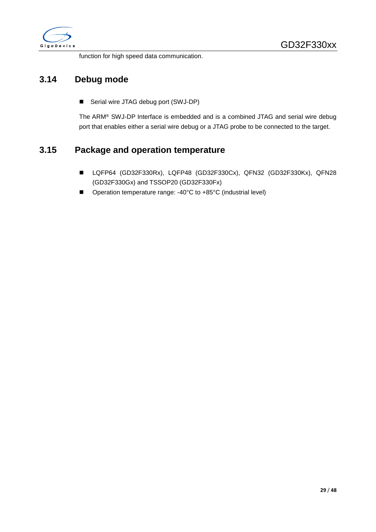

function for high speed data communication.

### <span id="page-29-0"></span>**3.14 Debug mode**

■ Serial wire JTAG debug port (SWJ-DP)

The ARM® SWJ-DP Interface is embedded and is a combined JTAG and serial wire debug port that enables either a serial wire debug or a JTAG probe to be connected to the target.

### <span id="page-29-1"></span>**3.15 Package and operation temperature**

- LQFP64 (GD32F330Rx), LQFP48 (GD32F330Cx), QFN32 (GD32F330Kx), QFN28 (GD32F330Gx) and TSSOP20 (GD32F330Fx)
- Operation temperature range: -40°C to +85°C (industrial level)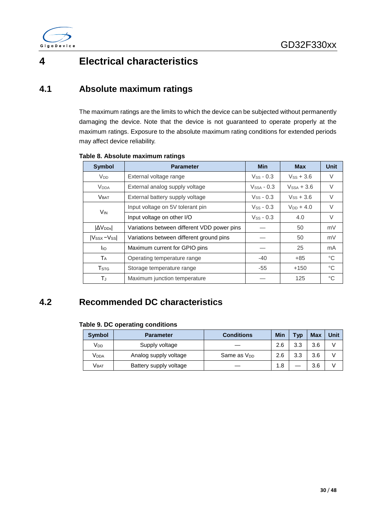

## <span id="page-30-0"></span>**4 Electrical characteristics**

### <span id="page-30-1"></span>**4.1 Absolute maximum ratings**

The maximum ratings are the limits to which the device can be subjected without permanently damaging the device. Note that the device is not guaranteed to operate properly at the maximum ratings. Exposure to the absolute maximum rating conditions for extended periods may affect device reliability.

| <b>Symbol</b>           | <b>Parameter</b>                            | <b>Min</b>                 | <b>Max</b>     | <b>Unit</b>  |
|-------------------------|---------------------------------------------|----------------------------|----------------|--------------|
| <b>V<sub>DD</sub></b>   | External voltage range                      | $V$ ss - 0.3               | $V$ ss + 3.6   | V            |
| <b>V</b> <sub>DDA</sub> | External analog supply voltage              | $V$ <sub>SSA</sub> - $0.3$ | $VSSA + 3.6$   | $\vee$       |
| <b>VBAT</b>             | External battery supply voltage             | $V$ ss - 0.3               | $V$ ss + 3.6   | $\vee$       |
|                         | Input voltage on 5V tolerant pin            | $V$ ss - 0.3               | $V_{DD}$ + 4.0 | V            |
| V <sub>IN</sub>         | Input voltage on other I/O                  | $V$ ss - 0.3               | 4.0            | V            |
| <b>AVDDX</b>            | Variations between different VDD power pins |                            | 50             | mV           |
| $ V_{SSX}-V_{SS} $      | Variations between different ground pins    |                            | 50             | mV           |
| <b>I</b> IO             | Maximum current for GPIO pins               |                            | 25             | mA           |
| TA                      | Operating temperature range                 | $-40$                      | $+85$          | $^{\circ}$ C |
| <b>T</b> <sub>STG</sub> | Storage temperature range                   | $-55$                      | $+150$         | $^{\circ}C$  |
| ТJ                      | Maximum junction temperature                |                            | 125            | °C           |

#### <span id="page-30-3"></span>**Table 8. Absolute maximum ratings**

### <span id="page-30-4"></span><span id="page-30-2"></span>**4.2 Recommended DC characteristics**

#### **Table 9. DC operating conditions**

| Symbol                | <b>Parameter</b>       | <b>Conditions</b>       | Min | Typ | <b>Max</b> | Unit |
|-----------------------|------------------------|-------------------------|-----|-----|------------|------|
| <b>V<sub>DD</sub></b> | Supply voltage         |                         | 2.6 | 3.3 | 3.6        |      |
| V <sub>DDA</sub>      | Analog supply voltage  | Same as V <sub>DD</sub> | 2.6 | 3.3 | 3.6        |      |
| Vват                  | Battery supply voltage |                         | 1.8 |     | 3.6        |      |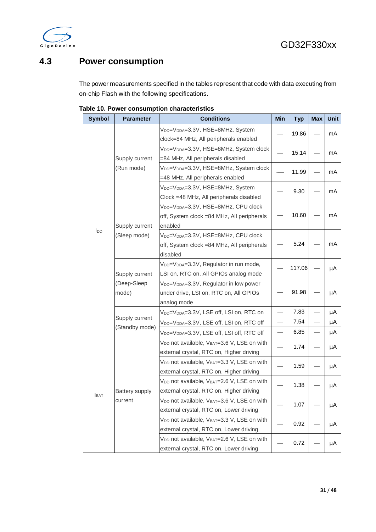

### <span id="page-31-0"></span>**4.3 Power consumption**

The power measurements specified in the tables represent that code with data executing from on-chip Flash with the following specifications.

| <b>Symbol</b>                          | <b>Parameter</b>      | <b>Conditions</b>                                                                                                        | Min | <b>Typ</b> | <b>Max</b> | <b>Unit</b> |
|----------------------------------------|-----------------------|--------------------------------------------------------------------------------------------------------------------------|-----|------------|------------|-------------|
|                                        |                       | V <sub>DD</sub> =V <sub>DDA</sub> =3.3V, HSE=8MHz, System<br>clock=84 MHz, All peripherals enabled                       |     | 19.86      |            | mA          |
|                                        | Supply current        | V <sub>DD</sub> =V <sub>DDA</sub> =3.3V, HSE=8MHz, System clock<br>=84 MHz, All peripherals disabled                     |     | 15.14      |            | mA          |
|                                        | (Run mode)            | V <sub>DD</sub> =V <sub>DDA</sub> =3.3V, HSE=8MHz, System clock<br>=48 MHz, All peripherals enabled                      |     | 11.99      |            | mA          |
| <b>I</b> <sub>DD</sub><br><b>I</b> BAT |                       | V <sub>DD</sub> =V <sub>DDA</sub> =3.3V, HSE=8MHz, System<br>Clock =48 MHz, All peripherals disabled                     |     | 9.30       |            | mA          |
|                                        | Supply current        | V <sub>DD</sub> =V <sub>DDA</sub> =3.3V, HSE=8MHz, CPU clock<br>off, System clock =84 MHz, All peripherals<br>enabled    |     | 10.60      |            | mA          |
|                                        | (Sleep mode)          | V <sub>DD</sub> =V <sub>DDA</sub> =3.3V, HSE=8MHz, CPU clock<br>off, System clock =84 MHz, All peripherals<br>disabled   |     | 5.24       |            | mA          |
|                                        | Supply current        | V <sub>DD</sub> =V <sub>DDA</sub> =3.3V, Regulator in run mode,<br>LSI on, RTC on, All GPIOs analog mode                 |     | 117.06     |            | μA          |
|                                        | (Deep-Sleep<br>mode)  | V <sub>DD</sub> =V <sub>DDA</sub> =3.3V, Regulator in low power<br>under drive, LSI on, RTC on, All GPIOs<br>analog mode |     | 91.98      |            | μA          |
|                                        |                       | V <sub>DD</sub> =V <sub>DDA</sub> =3.3V, LSE off, LSI on, RTC on                                                         |     | 7.83       |            | μA          |
|                                        | Supply current        | V <sub>DD</sub> =V <sub>DDA</sub> =3.3V, LSE off, LSI on, RTC off                                                        |     | 7.54       |            | μA          |
|                                        | (Standby mode)        | V <sub>DD</sub> =V <sub>DDA</sub> =3.3V, LSE off, LSI off, RTC off                                                       |     | 6.85       |            | μA          |
|                                        |                       | V <sub>DD</sub> not available, V <sub>BAT</sub> =3.6 V, LSE on with<br>external crystal, RTC on, Higher driving          |     | 1.74       |            | μA          |
|                                        |                       | V <sub>DD</sub> not available, V <sub>BAT</sub> =3.3 V, LSE on with<br>external crystal, RTC on, Higher driving          |     | 1.59       |            | μA          |
|                                        | <b>Battery supply</b> | V <sub>DD</sub> not available, V <sub>BAT</sub> =2.6 V, LSE on with<br>external crystal, RTC on, Higher driving          |     | 1.38       |            | μA          |
|                                        | current               | V <sub>DD</sub> not available, V <sub>BAT</sub> =3.6 V, LSE on with<br>external crystal, RTC on, Lower driving           |     | 1.07       |            | μA          |
|                                        |                       | V <sub>DD</sub> not available, V <sub>BAT</sub> =3.3 V, LSE on with<br>external crystal, RTC on, Lower driving           |     | 0.92       |            | μA          |
|                                        |                       | V <sub>DD</sub> not available, V <sub>BAT</sub> =2.6 V, LSE on with<br>external crystal, RTC on, Lower driving           |     | 0.72       |            | μA          |

<span id="page-31-1"></span>**Table 10. Power consumption characteristics**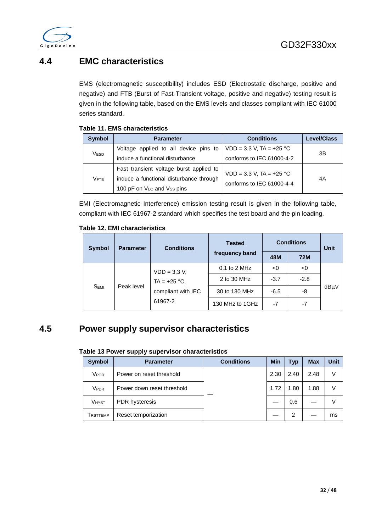

### <span id="page-32-0"></span>**4.4 EMC characteristics**

EMS (electromagnetic susceptibility) includes ESD (Electrostatic discharge, positive and negative) and FTB (Burst of Fast Transient voltage, positive and negative) testing result is given in the following table, based on the EMS levels and classes compliant with IEC 61000 series standard.

#### <span id="page-32-2"></span>**Table 11. EMS characteristics**

| <b>Symbol</b> | <b>Parameter</b>                        | <b>Conditions</b>           | <b>Level/Class</b> |  |
|---------------|-----------------------------------------|-----------------------------|--------------------|--|
| Vesd          | Voltage applied to all device pins to   | $VDD = 3.3 V, TA = +25 °C$  | 3B                 |  |
|               | induce a functional disturbance         | conforms to IEC 61000-4-2   |                    |  |
|               | Fast transient voltage burst applied to | $VDD = 3.3 V$ , TA = +25 °C |                    |  |
| Vғтв          | induce a functional disturbance through | conforms to IEC 61000-4-4   | 4A                 |  |
|               | 100 pF on V <sub>DD</sub> and Vss pins  |                             |                    |  |

EMI (Electromagnetic Interference) emission testing result is given in the following table, compliant with IEC 61967-2 standard which specifies the test board and the pin loading.

#### <span id="page-32-3"></span>**Table 12. EMI characteristics**

| <b>Symbol</b>    | <b>Parameter</b> | <b>Conditions</b>                                                 | <b>Tested</b>   | <b>Conditions</b> | <b>Unit</b> |      |  |
|------------------|------------------|-------------------------------------------------------------------|-----------------|-------------------|-------------|------|--|
|                  |                  |                                                                   | frequency band  | 48M               | <b>72M</b>  |      |  |
|                  | Peak level       | $VDD = 3.3 V,$<br>TA = $+25$ °C,<br>compliant with IEC<br>61967-2 | $0.1$ to 2 MHz  | <0                | <0          |      |  |
|                  |                  |                                                                   | 2 to 30 MHz     | $-3.7$            | $-2.8$      | dBµV |  |
| S <sub>EMI</sub> |                  |                                                                   | 30 to 130 MHz   | $-6.5$            | -8          |      |  |
|                  |                  |                                                                   | 130 MHz to 1GHz | $-7$              | $-7$        |      |  |

### <span id="page-32-4"></span><span id="page-32-1"></span>**4.5 Power supply supervisor characteristics**

#### **Table 13 Power supply supervisor characteristics**

| <b>Symbol</b>    | <b>Parameter</b>           | <b>Conditions</b> | <b>Min</b> | <b>Typ</b> | <b>Max</b> | Unit |
|------------------|----------------------------|-------------------|------------|------------|------------|------|
| V <sub>POR</sub> | Power on reset threshold   |                   | 2.30       | 2.40       | 2.48       | V    |
| Vpdr             | Power down reset threshold |                   | 1.72       | 1.80       | 1.88       | V    |
| <b>VHYST</b>     | <b>PDR</b> hysteresis      |                   |            | 0.6        |            | V    |
| <b>I</b> RSTTEMP | Reset temporization        |                   |            | 2          |            | ms   |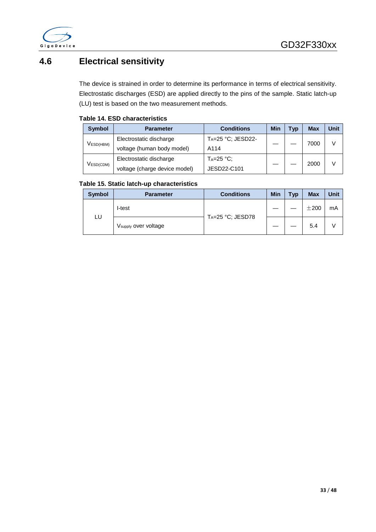

### <span id="page-33-0"></span>**4.6 Electrical sensitivity**

The device is strained in order to determine its performance in terms of electrical sensitivity. Electrostatic discharges (ESD) are applied directly to the pins of the sample. Static latch-up (LU) test is based on the two measurement methods.

#### <span id="page-33-1"></span>**Table 14. ESD characteristics**

| <b>Symbol</b>                    | <b>Parameter</b>                                  | <b>Conditions</b> | <b>Min</b> | <b>Typ</b> | Max          | Unit |
|----------------------------------|---------------------------------------------------|-------------------|------------|------------|--------------|------|
| $V_{\mathsf{ESD(HBM)}}$          | $T_A = 25$ °C; JESD22-<br>Electrostatic discharge |                   |            |            |              | V    |
|                                  | voltage (human body model)                        | A114              |            |            | 7000<br>2000 |      |
|                                  | Electrostatic discharge                           | $T_A = 25$ °C:    |            |            |              |      |
| $V_{\mathsf{ESD}(\mathsf{CDM})}$ | voltage (charge device model)                     | JESD22-C101       |            |            |              |      |

#### <span id="page-33-2"></span>**Table 15. Static latch-up characteristics**

| <b>Symbol</b> | <b>Parameter</b>                 | <b>Conditions</b>     | <b>Min</b> | <b>Typ</b> | <b>Max</b> | <b>Unit</b> |
|---------------|----------------------------------|-----------------------|------------|------------|------------|-------------|
|               | I-test                           | $T_A = 25$ °C; JESD78 |            |            | ±200       | mA          |
| LU            | V <sub>supply</sub> over voltage |                       |            |            | 5.4        |             |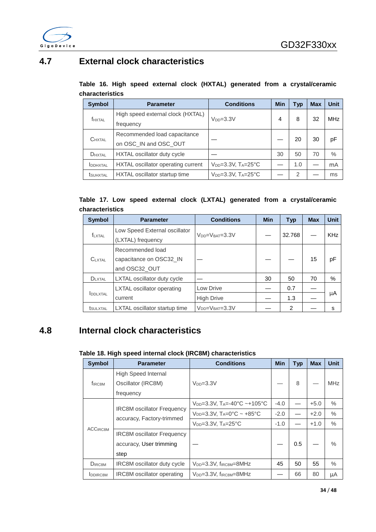

### <span id="page-34-2"></span><span id="page-34-0"></span>**4.7 External clock characteristics**

|                 |  |  |  |  | Table 16. High speed external clock (HXTAL) generated from a crystal/ceramic |
|-----------------|--|--|--|--|------------------------------------------------------------------------------|
| characteristics |  |  |  |  |                                                                              |

| <b>Symbol</b>    | <b>Parameter</b>                   | <b>Conditions</b>                     | Min | Typ | <b>Max</b> | <b>Unit</b> |
|------------------|------------------------------------|---------------------------------------|-----|-----|------------|-------------|
| <b>f</b> HXTAL   | High speed external clock (HXTAL)  | $V_{DD} = 3.3V$                       | 4   | 8   | 32         | <b>MHz</b>  |
|                  | frequency                          |                                       |     |     |            |             |
| <b>CHXTAL</b>    | Recommended load capacitance       |                                       |     | 20  | 30         |             |
|                  | on OSC_IN and OSC_OUT              |                                       |     |     |            | рF          |
| DHXTAL           | HXTAL oscillator duty cycle        |                                       | 30  | 50  | 70         | $\%$        |
| <b>IDDHXTAL</b>  | HXTAL oscillator operating current | $V_{DD}=3.3V$ , $T_A=25^{\circ}C$     |     | 1.0 |            | mA          |
| <b>t</b> SUHXTAL | HXTAL oscillator startup time      | $V_{DD} = 3.3V$ , $T_A = 25^{\circ}C$ |     | 2   |            | ms          |

#### <span id="page-34-3"></span>**Table 17. Low speed external clock (LXTAL) generated from a crystal/ceramic characteristics**

| <b>Symbol</b>    | <b>Parameter</b>                                             | <b>Conditions</b>         | <b>Min</b> | <b>Typ</b> | <b>Max</b> | <b>Unit</b> |
|------------------|--------------------------------------------------------------|---------------------------|------------|------------|------------|-------------|
| <b>f</b> LXTAL   | Low Speed External oscillator<br>(LXTAL) frequency           | $VDD=VBAT=3.3V$           |            | 32.768     |            | <b>KHz</b>  |
| <b>CLXTAL</b>    | Recommended load<br>capacitance on OSC32_IN<br>and OSC32_OUT |                           |            |            | 15         | рF          |
| $D_{LXTAL}$      | LXTAL oscillator duty cycle                                  |                           | 30         | 50         | 70         | $\%$        |
|                  | <b>LXTAL</b> oscillator operating                            | Low Drive                 |            | 0.7        |            |             |
| <b>IDDLXTAL</b>  | current                                                      | <b>High Drive</b>         |            | 1.3        |            | μA          |
| <b>t</b> SULXTAL | LXTAL oscillator startup time                                | $V_{DD} = V_{BAT} = 3.3V$ |            | 2          |            | S           |

### <span id="page-34-4"></span><span id="page-34-1"></span>**4.8 Internal clock characteristics**

#### **Table 18. High speed internal clock (IRC8M) characteristics**

| <b>Symbol</b>               | <b>Parameter</b>                   | <b>Conditions</b>                                                 | <b>Min</b> | <b>Typ</b> | <b>Max</b> | <b>Unit</b> |
|-----------------------------|------------------------------------|-------------------------------------------------------------------|------------|------------|------------|-------------|
| <b>f</b> IRC <sub>8</sub> M | High Speed Internal                |                                                                   |            |            |            |             |
|                             | Oscillator (IRC8M)                 | $V_{DD}=3.3V$                                                     |            | 8          |            | <b>MHz</b>  |
|                             | frequency                          |                                                                   |            |            |            |             |
|                             | <b>IRC8M</b> oscillator Frequency  | $V_{DD} = 3.3V$ , T <sub>A</sub> $= -40^{\circ}C - +105^{\circ}C$ | $-4.0$     |            | $+5.0$     | $\%$        |
|                             | accuracy, Factory-trimmed          | $V_{DD} = 3.3V$ , $T_A = 0$ °C ~ +85°C                            | $-2.0$     |            | $+2.0$     | $\%$        |
| <b>ACCIRC8M</b>             |                                    | $V_{DD}=3.3V$ , $T_A=25^{\circ}C$                                 | $-1.0$     |            | $+1.0$     | $\%$        |
|                             | <b>IRC8M</b> oscillator Frequency  |                                                                   |            |            |            |             |
|                             | accuracy, User trimming            |                                                                   |            | 0.5        |            | $\%$        |
|                             | step                               |                                                                   |            |            |            |             |
| DIRC <sub>8M</sub>          | <b>IRC8M</b> oscillator duty cycle | $V_{DD} = 3.3V$ , $f_{IRCSM} = 8MHz$                              | 45         | 50         | 55         | $\%$        |
| <b>IDDIRC8M</b>             | <b>IRC8M</b> oscillator operating  | $V_{DD} = 3.3V$ , $f_{IRCSM} = 8MHz$                              |            | 66         | 80         | μA          |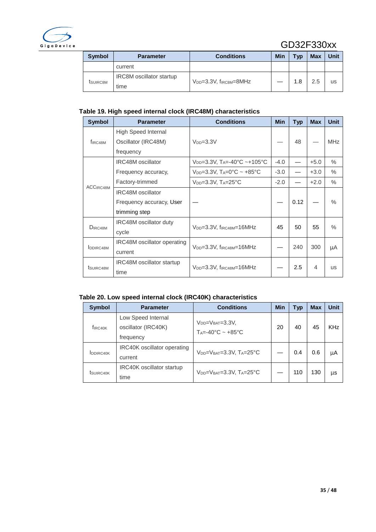

### GD32F330xx

| Symbol               | <b>Parameter</b>                | <b>Conditions</b>                    | Min | <b>Typ</b> | <b>Max</b> | Unit |
|----------------------|---------------------------------|--------------------------------------|-----|------------|------------|------|
|                      | current                         |                                      |     |            |            |      |
| t <sub>SUIRC8M</sub> | <b>IRC8M</b> oscillator startup | $V_{DD} = 3.3V$ , $f_{IRCSM} = 8MHz$ |     | 1.8        | 2.5        | us   |
|                      | time                            |                                      |     |            |            |      |

#### <span id="page-35-0"></span>**Table 19. High speed internal clock (IRC48M) characteristics**

| <b>Symbol</b>         | <b>Parameter</b>                 | <b>Conditions</b>                                 | <b>Min</b> | <b>Typ</b> | <b>Max</b> | <b>Unit</b>   |
|-----------------------|----------------------------------|---------------------------------------------------|------------|------------|------------|---------------|
|                       | High Speed Internal              |                                                   |            |            |            |               |
| f <sub>IRC48M</sub>   | Oscillator (IRC48M)              | $V_{DD}=3.3V$                                     |            | 48         |            | <b>MHz</b>    |
|                       | frequency                        |                                                   |            |            |            |               |
| ACCIRC48M             | <b>IRC48M</b> oscillator         | $V_{DD} = 3.3V$ , T <sub>A</sub> = -40°C ~ +105°C | $-4.0$     |            | $+5.0$     | $\%$          |
|                       | Frequency accuracy,              | $V_{DD} = 3.3V$ , $T_A = 0$ °C ~ +85°C            | $-3.0$     |            | $+3.0$     | $\%$          |
|                       | Factory-trimmed                  | $V_{DD}=3.3V$ , $T_A=25^{\circ}C$                 | $-2.0$     |            | $+2.0$     | $\frac{0}{0}$ |
|                       | <b>IRC48M</b> oscillator         |                                                   |            |            |            |               |
|                       | Frequency accuracy, User         |                                                   |            | 0.12       |            | $\%$          |
|                       | trimming step                    |                                                   |            |            |            |               |
|                       | <b>IRC48M</b> oscillator duty    |                                                   | 45         | 50         | 55         | $\%$          |
| $D_{IRC48M}$          | cycle                            | $V_{DD} = 3.3V$ , f <sub>IRC48M</sub> $= 16MHz$   |            |            |            |               |
|                       | IRC48M oscillator operating      |                                                   |            | 240        |            |               |
| DDIRC48M              | current                          | $V_{DD} = 3.3V$ , $f_{IRC48M} = 16MHz$            |            |            | 300        | μA            |
|                       | <b>IRC48M</b> oscillator startup |                                                   |            | 2.5        | 4          |               |
| t <sub>SUIRC48M</sub> | time                             | $V_{DD} = 3.3V$ , f <sub>IRC48M</sub> $= 16MHz$   |            |            |            | <b>US</b>     |

#### <span id="page-35-1"></span>**Table 20. Low speed internal clock (IRC40K) characteristics**

| <b>Symbol</b>          | <b>Parameter</b>                                       | <b>Conditions</b>                                                      | Min | <b>Typ</b> | <b>Max</b> | <b>Unit</b> |
|------------------------|--------------------------------------------------------|------------------------------------------------------------------------|-----|------------|------------|-------------|
| f <sub>IRC40K</sub>    | Low Speed Internal<br>oscillator (IRC40K)<br>frequency | $V_{DD} = V_{BAT} = 3.3V$ ,<br>$T_A = -40^\circ C \approx +85^\circ C$ | 20  | 40         | 45         | <b>KHz</b>  |
| <b>IDDIRC40K</b>       | <b>IRC40K</b> oscillator operating<br>current          | $V_{DD} = V_{BAT} = 3.3V$ . $T_A = 25^{\circ}C$                        |     | 0.4        | 0.6        | μA          |
| t <sub>SUIRC40</sub> K | <b>IRC40K oscillator startup</b><br>time               | $V_{DD} = V_{BAT} = 3.3V$ , $T_A = 25^{\circ}C$                        |     | 110        | 130        | μs          |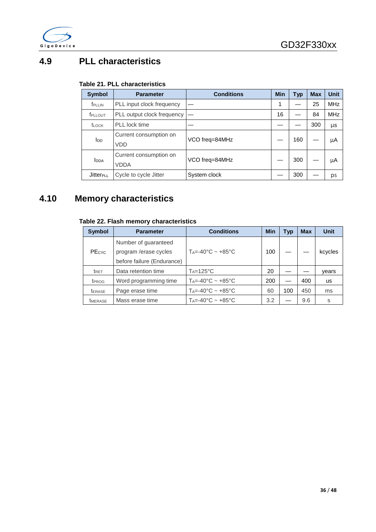

### <span id="page-36-2"></span><span id="page-36-0"></span>**4.9 PLL characteristics**

#### **Table 21. PLL characteristics**

| <b>Symbol</b>               | <b>Parameter</b>                     | <b>Conditions</b> | <b>Min</b> | Typ | <b>Max</b> | <b>Unit</b> |
|-----------------------------|--------------------------------------|-------------------|------------|-----|------------|-------------|
| <b>f</b> PLLIN              | PLL input clock frequency            |                   |            |     | 25         | <b>MHz</b>  |
| <b>f</b> PLLOUT             | PLL output clock frequency           |                   | 16         |     | 84         | <b>MHz</b>  |
| <b>t</b> LOCK               | PLL lock time                        |                   |            |     | 300        | μs          |
| <b>I</b> <sub>DD</sub>      | Current consumption on<br><b>VDD</b> | VCO freg=84MHz    |            | 160 |            | μA          |
|                             |                                      |                   |            |     |            |             |
| <b>IDDA</b>                 | Current consumption on               | VCO freg=84MHz    |            | 300 |            |             |
|                             | <b>VDDA</b>                          |                   |            |     |            | μA          |
| <b>Jitter<sub>PLL</sub></b> | Cycle to cycle Jitter                | System clock      |            | 300 |            | ps          |

### <span id="page-36-3"></span><span id="page-36-1"></span>**4.10 Memory characteristics**

#### **Table 22. Flash memory characteristics**

| <b>Symbol</b>        | <b>Parameter</b>                                                            | <b>Conditions</b>                                  | <b>Min</b> | Typ | <b>Max</b> | Unit    |
|----------------------|-----------------------------------------------------------------------------|----------------------------------------------------|------------|-----|------------|---------|
| PEcyc                | Number of guaranteed<br>program /erase cycles<br>before failure (Endurance) | $T_A = -40^\circ C \sim +85^\circ C$               | 100        |     |            | kcycles |
| t <sub>RET</sub>     | Data retention time                                                         | $Ta=125^{\circ}C$                                  | 20         |     |            | years   |
| t <sub>PROG</sub>    | Word programming time                                                       | $T_A = -40^\circ \text{C} \sim +85^\circ \text{C}$ | 200        |     | 400        | us      |
| <b><i>LERASE</i></b> | Page erase time                                                             | $T_A = -40^\circ \text{C} \sim +85^\circ \text{C}$ | 60         | 100 | 450        | ms      |
| <b>TMERASE</b>       | Mass erase time                                                             | $T_A = -40^\circ \text{C} \sim +85^\circ \text{C}$ | 3.2        |     | 9.6        | S       |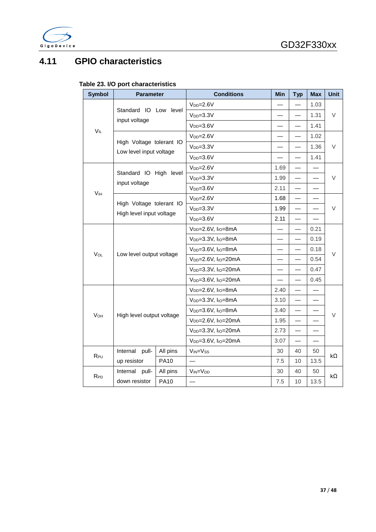

### <span id="page-37-1"></span><span id="page-37-0"></span>**4.11 GPIO characteristics**

|  |  |  |  |  | Table 23. I/O port characteristics |
|--|--|--|--|--|------------------------------------|
|--|--|--|--|--|------------------------------------|

| <b>Symbol</b>         | <b>Parameter</b>                                     |             | <b>Conditions</b>                            | Min                      | <b>Typ</b>               | <b>Max</b>               | <b>Unit</b> |
|-----------------------|------------------------------------------------------|-------------|----------------------------------------------|--------------------------|--------------------------|--------------------------|-------------|
|                       |                                                      |             | $V_{DD} = 2.6V$                              |                          |                          | 1.03                     |             |
|                       | Standard IO Low level<br>input voltage               |             | $VDP=3.3V$                                   | $\overline{\phantom{0}}$ | $\overline{\phantom{0}}$ | 1.31                     | V           |
|                       |                                                      |             | $VDD=3.6V$                                   |                          |                          | 1.41                     |             |
| $V_{IL}$              |                                                      |             | $V_{DD} = 2.6V$                              |                          |                          | 1.02                     |             |
|                       | High Voltage tolerant IO                             |             | $VDD=3.3V$                                   |                          |                          | 1.36                     | V           |
|                       | Low level input voltage                              |             | $VDD=3.6V$                                   |                          |                          | 1.41                     |             |
|                       |                                                      |             | $V_{DD} = 2.6V$                              | 1.69                     |                          |                          |             |
|                       | Standard IO High level                               |             | $VDD=3.3V$                                   | 1.99                     | $\overline{\phantom{0}}$ |                          | V           |
|                       | input voltage                                        |             | $VDD=3.6V$                                   | 2.11                     | $\overline{\phantom{0}}$ | $\overline{\phantom{0}}$ |             |
| V <sub>IH</sub>       |                                                      |             | $V_{DD} = 2.6V$                              | 1.68                     | $\overline{\phantom{0}}$ |                          |             |
|                       | High Voltage tolerant IO<br>High level input voltage |             | $VDD=3.3V$                                   | 1.99                     |                          |                          | $\vee$      |
|                       |                                                      |             | $V_{DD} = 3.6V$                              | 2.11                     | $\overline{\phantom{0}}$ |                          |             |
|                       |                                                      |             | V <sub>DD</sub> =2.6V, I <sub>IO</sub> =8mA  |                          | $\overline{\phantom{0}}$ | 0.21                     |             |
|                       |                                                      |             | V <sub>DD</sub> =3.3V, I <sub>IO</sub> =8mA  |                          |                          | 0.19                     |             |
| Vol                   | Low level output voltage                             |             | V <sub>DD</sub> =3.6V, I <sub>IO</sub> =8mA  | $\overline{\phantom{0}}$ | $\overline{\phantom{0}}$ | 0.18                     | V           |
|                       |                                                      |             | V <sub>DD</sub> =2.6V, I <sub>IO</sub> =20mA |                          | $\overline{\phantom{0}}$ | 0.54                     |             |
|                       |                                                      |             | V <sub>DD</sub> =3.3V, I <sub>IO</sub> =20mA |                          |                          | 0.47                     |             |
|                       |                                                      |             | V <sub>DD</sub> =3.6V, I <sub>IO</sub> =20mA |                          | $\overline{\phantom{0}}$ | 0.45                     |             |
|                       |                                                      |             | V <sub>DD</sub> =2.6V, I <sub>IO</sub> =8mA  | 2.40                     | $\overline{\phantom{0}}$ |                          |             |
|                       |                                                      |             | $V_{DD} = 3.3V$ , $I_{10} = 8mA$             | 3.10                     | $\overline{\phantom{0}}$ |                          |             |
| <b>V<sub>OH</sub></b> | High level output voltage                            |             | $V_{DD} = 3.6V$ , $I_{10} = 8mA$             | 3.40                     |                          |                          | V           |
|                       |                                                      |             | V <sub>DD</sub> =2.6V, I <sub>IO</sub> =20mA | 1.95                     | $\overline{\phantom{0}}$ |                          |             |
|                       |                                                      |             | V <sub>DD</sub> =3.3V, I <sub>IO</sub> =20mA | 2.73                     | $\overline{\phantom{0}}$ |                          |             |
|                       |                                                      |             | V <sub>DD</sub> =3.6V, I <sub>IO</sub> =20mA | 3.07                     |                          |                          |             |
| R <sub>PU</sub>       | Internal<br>pull-                                    | All pins    | V <sub>IN</sub> =V <sub>ss</sub>             | 30                       | 40                       | 50                       | kΩ          |
|                       | up resistor                                          | <b>PA10</b> |                                              | 7.5                      | 10                       | 13.5                     |             |
| $R_{PD}$              | Internal<br>pull-                                    | All pins    | VIN=V <sub>DD</sub>                          | 30                       | 40                       | 50                       | $k\Omega$   |
|                       | down resistor                                        | <b>PA10</b> |                                              | 7.5                      | 10                       | 13.5                     |             |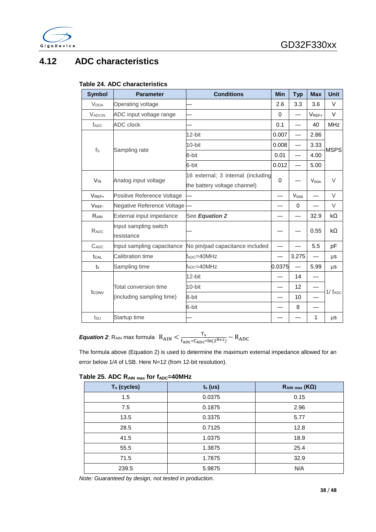

### <span id="page-38-1"></span><span id="page-38-0"></span>**4.12 ADC characteristics**

#### **Table 24. ADC characteristics**

| <b>Symbol</b>           | <b>Parameter</b>                    | <b>Conditions</b>                                                  | <b>Min</b> | <b>Typ</b>               | <b>Max</b>              | <b>Unit</b>    |  |
|-------------------------|-------------------------------------|--------------------------------------------------------------------|------------|--------------------------|-------------------------|----------------|--|
| <b>V</b> <sub>DDA</sub> | Operating voltage                   |                                                                    | 2.6        | 3.3                      | 3.6                     | $\vee$         |  |
| <b>VADCIN</b>           | ADC input voltage range             |                                                                    | $\Omega$   |                          | VREF+                   | V              |  |
| f <sub>ADC</sub>        | <b>ADC</b> clock                    |                                                                    | 0.1        |                          | 40                      | <b>MHz</b>     |  |
|                         |                                     | 12-bit                                                             | 0.007      |                          | 2.86                    |                |  |
|                         |                                     | $10$ -bit                                                          | 0.008      | $\overline{\phantom{0}}$ | 3.33                    |                |  |
| $f_S$                   | Sampling rate                       | 8-bit                                                              | 0.01       | $\overline{\phantom{0}}$ | 4.00                    | <b>MSPS</b>    |  |
|                         |                                     | 6-bit                                                              | 0.012      |                          | 5.00                    |                |  |
| <b>V<sub>IN</sub></b>   | Analog input voltage                | 16 external; 3 internal (including<br>the battery voltage channel) | 0          |                          | <b>V</b> <sub>DDA</sub> | $\vee$         |  |
| $V_{REF+}$              | Positive Reference Voltage          |                                                                    |            | <b>V</b> <sub>DDA</sub>  |                         | $\vee$         |  |
| VREF-                   | Negative Reference Voltage          |                                                                    |            | 0                        |                         | $\vee$         |  |
| RAIN                    | External input impedance            | See Equation 2                                                     |            |                          | 32.9                    | $k\Omega$      |  |
| RADC                    | Input sampling switch<br>resistance |                                                                    |            |                          | 0.55                    | $k\Omega$      |  |
| $C_{ADC}$               | Input sampling capacitance          | No pin/pad capacitance included                                    |            |                          | 5.5                     | рF             |  |
| tcal                    | Calibration time                    | $f_{ADC} = 40MHz$                                                  |            | 3.275                    |                         | μs             |  |
| $t_{\rm s}$             | Sampling time                       | $f_{ADC} = 40MHz$                                                  | 0.0375     | $\overline{\phantom{0}}$ | 5.99                    | μs             |  |
|                         |                                     | 12-bit                                                             |            | 14                       |                         |                |  |
|                         | Total conversion time               | 10-bit                                                             |            | 12                       |                         | $1/$ $f_{ADC}$ |  |
| tconv                   | (including sampling time)           | 8-bit                                                              |            | 10                       |                         |                |  |
|                         |                                     | 6-bit                                                              |            | 8                        |                         |                |  |
| tsu                     | Startup time                        |                                                                    |            |                          | 1                       | μs             |  |

**Equation 2:** R<sub>AIN</sub> max formula  $R_{\text{AIN}} < \frac{T_s}{f_{\text{ADC}*C_{\text{ADC}}*ln(2^{N+2})}} - R_{\text{ADC}}$ 

The formula above (Equation 2) is used to determine the maximum external impedance allowed for an error below 1/4 of LSB. Here N=12 (from 12-bit resolution).

<span id="page-38-2"></span>

|  |  |  |  | Table 25. ADC RAIN max for fADC=40MHz |
|--|--|--|--|---------------------------------------|
|--|--|--|--|---------------------------------------|

| T <sub>s</sub> (cycles) | $ts$ (us) | $R_{AlN \, max} (K\Omega)$ |
|-------------------------|-----------|----------------------------|
| 1.5                     | 0.0375    | 0.15                       |
| 7.5                     | 0.1875    | 2.96                       |
| 13.5                    | 0.3375    | 5.77                       |
| 28.5                    | 0.7125    | 12.8                       |
| 41.5                    | 1.0375    | 18.9                       |
| 55.5                    | 1.3875    | 25.4                       |
| 71.5                    | 1.7875    | 32.9                       |
| 239.5                   | 5.9875    | N/A                        |

*Note: Guaranteed by design, not tested in production.*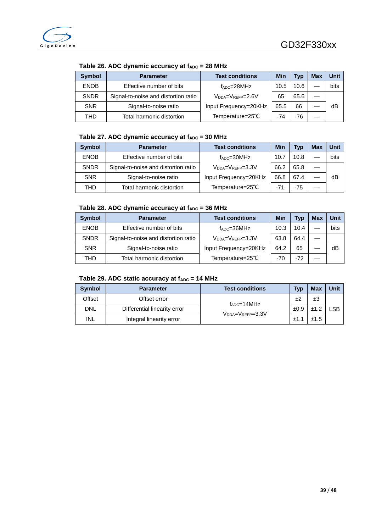<span id="page-39-0"></span>

| <b>Symbol</b> | <b>Parameter</b>                     | <b>Test conditions</b>  | Min   | <b>Typ</b> | Max | Unit |
|---------------|--------------------------------------|-------------------------|-------|------------|-----|------|
| <b>ENOB</b>   | Effective number of bits             | $f_{ADC} = 28 MHz$      | 10.5  | 10.6       |     | bits |
| <b>SNDR</b>   | Signal-to-noise and distortion ratio | $V_{DDA}=V_{REFP}=2.6V$ | 65    | 65.6       |     |      |
| <b>SNR</b>    | Signal-to-noise ratio                | Input Frequency=20KHz   | 65.5  | 66         |     | dB   |
| THD           | Total harmonic distortion            | Temperature=25°C        | $-74$ | $-76$      |     |      |

Table 26. ADC dynamic accuracy at  $f_{ADC} = 28$  MHz

#### Table 27. ADC dynamic accuracy at  $f_{ADC} = 30$  MHz

<span id="page-39-1"></span>

| <b>Symbol</b> | <b>Parameter</b>                     | <b>Test conditions</b>  | <b>Min</b> | Typ  | <b>Max</b> | <b>Unit</b> |
|---------------|--------------------------------------|-------------------------|------------|------|------------|-------------|
| <b>ENOB</b>   | Effective number of bits             | $f_{ADC} = 30MHz$       | 10.7       | 10.8 |            | bits        |
| <b>SNDR</b>   | Signal-to-noise and distortion ratio | $V_{DDA}=V_{REFP}=3.3V$ | 66.2       | 65.8 |            |             |
| <b>SNR</b>    | Signal-to-noise ratio                | Input Frequency=20KHz   | 66.8       | 67.4 |            | dB          |
| THD           | Total harmonic distortion            | Temperature=25°C        | $-71$      | -75  |            |             |

#### Table 28. ADC dynamic accuracy at f<sub>ADC</sub> = 36 MHz

<span id="page-39-2"></span>

| <b>Symbol</b> | <b>Parameter</b>                     | <b>Test conditions</b>                | Min  | Typ   | <b>Max</b> | Unit |
|---------------|--------------------------------------|---------------------------------------|------|-------|------------|------|
| <b>ENOB</b>   | Effective number of bits             | $f_{ADC} = 36MHz$                     | 10.3 | 10.4  |            | bits |
| <b>SNDR</b>   | Signal-to-noise and distortion ratio | $V_{\text{DNA}}=V_{\text{RFFP}}=3.3V$ | 63.8 | 64.4  |            |      |
| <b>SNR</b>    | Signal-to-noise ratio                | Input Frequency=20KHz                 | 64.2 | 65    |            | dB   |
| <b>THD</b>    | Total harmonic distortion            | Temperature=25°C                      | -70  | $-72$ |            |      |

#### Table 29. ADC static accuracy at  $f_{ADC} = 14$  MHz

<span id="page-39-3"></span>

| <b>Symbol</b> | <b>Parameter</b>             | <b>Test conditions</b>                                      | <b>Typ</b> | <b>Max</b> | Unit |
|---------------|------------------------------|-------------------------------------------------------------|------------|------------|------|
| Offset        | Offset error                 |                                                             | ±2         | ±3         |      |
| <b>DNL</b>    | Differential linearity error | $f_{ADC} = 14 MHz$<br>$V_{\text{DNA}}=V_{\text{RFFP}}=3.3V$ | ±0.9       | ົ<br>±1.2  | LSB  |
| INL           | Integral linearity error     |                                                             |            | ±1.5       |      |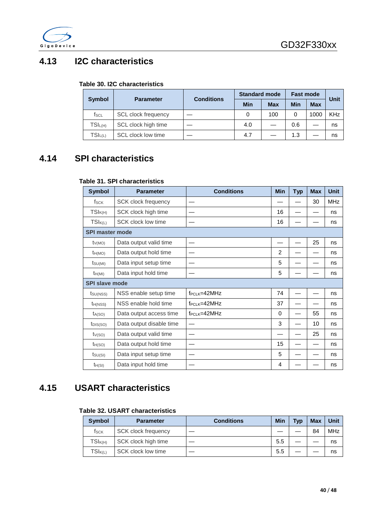

### <span id="page-40-3"></span><span id="page-40-0"></span>**4.13 I2C characteristics**

#### **Table 30. I2C characteristics**

|               |                     | <b>Conditions</b> | <b>Standard mode</b> |            | <b>Fast mode</b> | Unit       |            |
|---------------|---------------------|-------------------|----------------------|------------|------------------|------------|------------|
| <b>Symbol</b> | <b>Parameter</b>    |                   | Min                  | <b>Max</b> | Min              | <b>Max</b> |            |
| fscl          | SCL clock frequency |                   |                      | 100        |                  | 1000       | <b>KHz</b> |
| $TSI_{L(H)}$  | SCL clock high time |                   | 4.0                  |            | 0.6              |            | ns         |
| $TSI_{L(L)}$  | SCL clock low time  |                   | 4.7                  |            | 1.3              |            | ns         |

### <span id="page-40-4"></span><span id="page-40-1"></span>**4.14 SPI characteristics**

#### **Table 31. SPI characteristics**

| <b>Symbol</b>          | <b>Parameter</b>           | <b>Conditions</b>  | <b>Min</b>     | <b>Typ</b> | <b>Max</b> | <b>Unit</b> |
|------------------------|----------------------------|--------------------|----------------|------------|------------|-------------|
| fsck                   | <b>SCK clock frequency</b> |                    |                |            | 30         | <b>MHz</b>  |
| $TSI_{K(H)}$           | SCK clock high time        |                    | 16             |            |            | ns          |
| $TSI_{K(L)}$           | SCK clock low time         |                    | 16             |            |            | ns          |
| <b>SPI master mode</b> |                            |                    |                |            |            |             |
| $t_{V(MO)}$            | Data output valid time     |                    |                |            | 25         | ns          |
| $t_{H(MO)}$            | Data output hold time      |                    | $\mathfrak{p}$ |            |            | ns          |
| $t_{SU(MI)}$           | Data input setup time      |                    | 5              |            |            | ns          |
| $t_{H(MI)}$            | Data input hold time       |                    | 5              |            |            | ns          |
| <b>SPI slave mode</b>  |                            |                    |                |            |            |             |
| $t_{\text{SU(NSS)}}$   | NSS enable setup time      | $f_{PCLK} = 42MHz$ | 74             |            |            | ns          |
| $t_{H(NSS)}$           | NSS enable hold time       | $f_{PCLK} = 42MHz$ | 37             |            |            | ns          |
| $t_{A(SO)}$            | Data output access time    | $f_{PCLK} = 42MHz$ | 0              |            | 55         | ns          |
| t <sub>DIS(SO)</sub>   | Data output disable time   |                    | 3              |            | 10         | ns          |
| $t_{V(SO)}$            | Data output valid time     |                    |                |            | 25         | ns          |
| $t_{H(SO)}$            | Data output hold time      |                    | 15             |            |            | ns          |
| $t_{\text{SU(SI)}}$    | Data input setup time      |                    | 5              |            |            | ns          |
| $t_{H(SI)}$            | Data input hold time       |                    | 4              |            |            | ns          |

### <span id="page-40-5"></span><span id="page-40-2"></span>**4.15 USART characteristics**

#### **Table 32. USART characteristics**

| <b>Symbol</b> | <b>Parameter</b>           | <b>Conditions</b> | Min | <b>Typ</b> | <b>Max</b> | <b>Unit</b> |
|---------------|----------------------------|-------------------|-----|------------|------------|-------------|
| fsck          | <b>SCK clock frequency</b> |                   |     |            | 84         | <b>MHz</b>  |
| $TSI_{K(H)}$  | SCK clock high time        |                   | 5.5 |            |            | ns          |
| $TSI_{K(L)}$  | SCK clock low time         |                   | 5.5 |            |            | ns          |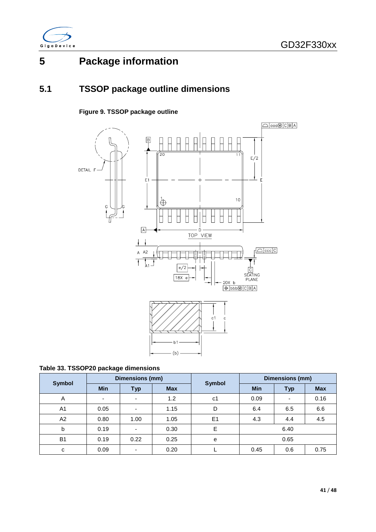

# <span id="page-41-0"></span>**5 Package information**

## <span id="page-41-2"></span><span id="page-41-1"></span>**5.1 TSSOP package outline dimensions**

### **Figure 9. TSSOP package outline**



<span id="page-41-3"></span>

| Symbol         |            | Dimensions (mm) |            | <b>Symbol</b> | Dimensions (mm) |            |            |  |
|----------------|------------|-----------------|------------|---------------|-----------------|------------|------------|--|
|                | <b>Min</b> | Typ             | <b>Max</b> |               | <b>Min</b>      | <b>Typ</b> | <b>Max</b> |  |
| A              |            | ٠               | 1.2        | c1            | 0.09            | ۰          | 0.16       |  |
| A <sub>1</sub> | 0.05       | ٠               | 1.15       | D             | 6.4             | 6.5        |            |  |
| A2             | 0.80       | 1.00            | 1.05       | E1            | 4.3             | 4.4        | 4.5        |  |
| b              | 0.19       | ٠               | 0.30       | E             |                 | 6.40       |            |  |
| <b>B1</b>      | 0.19       | 0.22            | 0.25       | e             | 0.65            |            |            |  |
| c              | 0.09       | ٠               | 0.20       |               | 0.45            | 0.75       |            |  |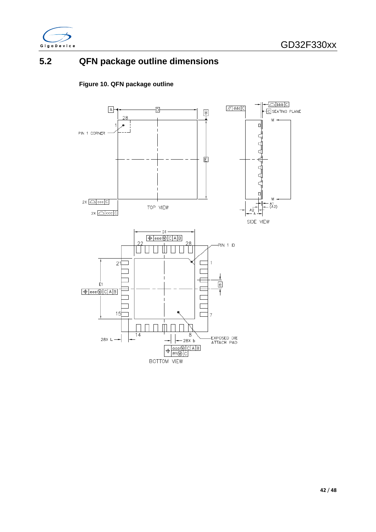

### <span id="page-42-1"></span><span id="page-42-0"></span>**5.2 QFN package outline dimensions**

#### **Figure 10. QFN package outline**

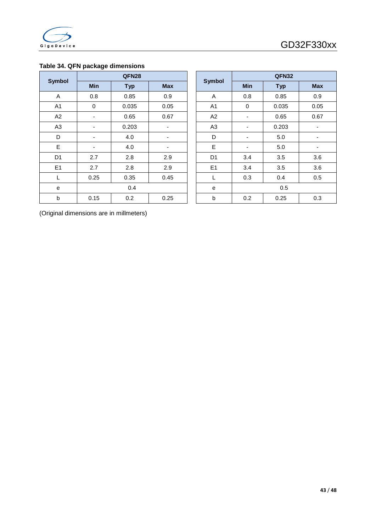

#### <span id="page-43-0"></span>**Table 34. QFN package dimensions**

| <b>Symbol</b>  |            | QFN28      |            | <b>Symbol</b>  |                          | QFN32      |                          |
|----------------|------------|------------|------------|----------------|--------------------------|------------|--------------------------|
|                | <b>Min</b> | <b>Typ</b> | <b>Max</b> |                | Min                      | <b>Typ</b> | <b>Max</b>               |
| A              | 0.8        | 0.85       | 0.9        | Α              | 0.8                      | 0.85       | 0.9                      |
| A <sub>1</sub> | $\pmb{0}$  | 0.035      | 0.05       | A <sub>1</sub> | $\mathbf 0$              | 0.035      | 0.05                     |
| A <sub>2</sub> | ۰          | 0.65       | 0.67       | A2             | ۰                        | 0.65       | 0.67                     |
| A <sub>3</sub> | ٠          | 0.203      | ۰          | A <sub>3</sub> | ٠                        | 0.203      | $\overline{\phantom{a}}$ |
| D              | ٠          | 4.0        |            | D              | $\overline{\phantom{a}}$ | 5.0        | ٠                        |
| E              | ۰          | 4.0        | ۰          | E              | ٠                        | 5.0        | $\overline{\phantom{a}}$ |
| D <sub>1</sub> | 2.7        | 2.8        | 2.9        | D <sub>1</sub> | 3.4                      | 3.5        | 3.6                      |
| E1             | 2.7        | 2.8        | 2.9        | E1             | 3.4                      | 3.5        | 3.6                      |
| L              | 0.25       | 0.35       | 0.45       | L              | 0.3                      | 0.4        | 0.5                      |
| е              |            | 0.4        |            | e              | 0.5                      |            |                          |
| b              | 0.15       | 0.2        | 0.25       | b              | 0.2                      | 0.25       | 0.3                      |

| QFN28       |            |            |  |                | QFN32       |            |            |  |
|-------------|------------|------------|--|----------------|-------------|------------|------------|--|
| Min         | <b>Typ</b> | <b>Max</b> |  | <b>Symbol</b>  | Min         | <b>Typ</b> | <b>Max</b> |  |
| 0.8         | 0.85       | 0.9        |  | A              | 0.8         | 0.85       | 0.9        |  |
| $\mathbf 0$ | 0.035      | 0.05       |  | A1             | $\mathbf 0$ | 0.035      | 0.05       |  |
|             | 0.65       | 0.67       |  | A2             |             | 0.65       | 0.67       |  |
|             | 0.203      |            |  | A <sub>3</sub> |             | 0.203      |            |  |
|             | 4.0        |            |  | D              |             | 5.0        |            |  |
|             | 4.0        |            |  | E              |             | 5.0        |            |  |
| 2.7         | 2.8        | 2.9        |  | D <sub>1</sub> | 3.4         | 3.5        | 3.6        |  |
| 2.7         | 2.8        | 2.9        |  | E1             | 3.4         | 3.5        | 3.6        |  |
| 0.25        | 0.35       | 0.45       |  | L              | 0.3         | 0.4        | 0.5        |  |
|             | 0.4        |            |  | е              |             | 0.5        |            |  |
| 0.15        | 0.2        | 0.25       |  | b              | 0.2         | 0.25       | 0.3        |  |

(Original dimensions are in millmeters)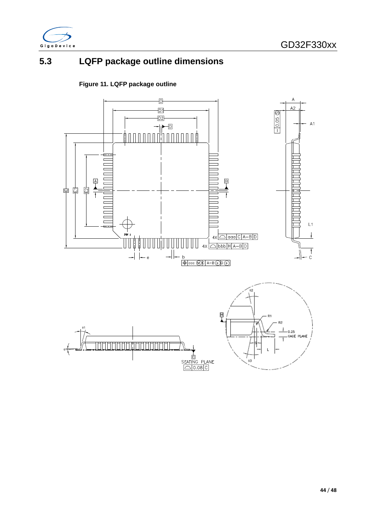

## <span id="page-44-0"></span>**5.3 LQFP package outline dimensions**

### **Figure 11. LQFP package outline**

<span id="page-44-1"></span>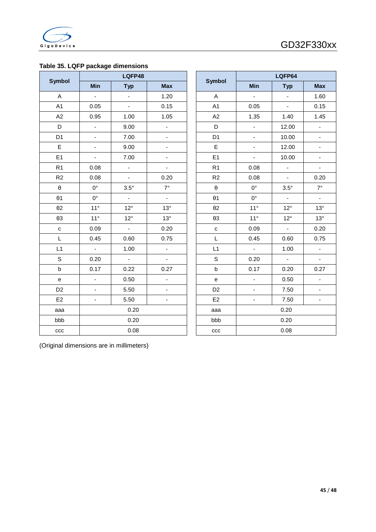

#### <span id="page-45-0"></span>**Table 35. LQFP package dimensions**

|                       | LQFP48                   |                          |                          |                       | LQFP64                                                                                                                                                                                                                                                                                      |                          |                              |
|-----------------------|--------------------------|--------------------------|--------------------------|-----------------------|---------------------------------------------------------------------------------------------------------------------------------------------------------------------------------------------------------------------------------------------------------------------------------------------|--------------------------|------------------------------|
| <b>Symbol</b>         | Min                      | <b>Typ</b>               | <b>Max</b>               | <b>Symbol</b>         | Min<br>÷,<br>0.05<br>1.35<br>$\blacksquare$<br>$\blacksquare$<br>$\blacksquare$<br>$\blacksquare$<br>0.08<br>0.08<br>$0^{\circ}$<br>$0^{\circ}$<br>$11^{\circ}$<br>$11^{\circ}$<br>0.09<br>0.45<br>$\omega$<br>0.20<br>0.17<br>$\blacksquare$<br>$\blacksquare$<br>$\overline{\phantom{a}}$ | <b>Typ</b>               | <b>Max</b>                   |
| A                     | $\blacksquare$           | $\blacksquare$           | 1.20                     | A                     |                                                                                                                                                                                                                                                                                             | $\overline{\phantom{a}}$ | 1.60                         |
| A1                    | 0.05                     | ÷,                       | 0.15                     | A1                    |                                                                                                                                                                                                                                                                                             | $\blacksquare$           | 0.15                         |
| A2                    | 0.95                     | 1.00                     | 1.05                     | A2                    |                                                                                                                                                                                                                                                                                             | 1.40                     | 1.45                         |
| D                     | $\overline{\phantom{a}}$ | 9.00                     | ÷,                       | D                     |                                                                                                                                                                                                                                                                                             | 12.00                    | $\blacksquare$               |
| D <sub>1</sub>        | $\blacksquare$           | 7.00                     | $\blacksquare$           | D <sub>1</sub>        |                                                                                                                                                                                                                                                                                             | 10.00                    | $\overline{\phantom{a}}$     |
| E                     | $\blacksquare$           | 9.00                     | $\blacksquare$           | $\mathsf E$           |                                                                                                                                                                                                                                                                                             | 12.00                    | $\overline{\phantom{a}}$     |
| E1                    | $\blacksquare$           | 7.00                     | $\overline{\phantom{a}}$ | E1                    |                                                                                                                                                                                                                                                                                             | 10.00                    | $\qquad \qquad \blacksquare$ |
| R <sub>1</sub>        | 0.08                     | $\overline{\phantom{a}}$ | $\overline{\phantom{0}}$ | R <sub>1</sub>        |                                                                                                                                                                                                                                                                                             | $\overline{\phantom{a}}$ | $\blacksquare$               |
| R2                    | 0.08                     | $\blacksquare$           | 0.20                     | R2                    |                                                                                                                                                                                                                                                                                             | $\blacksquare$           | 0.20                         |
| $\boldsymbol{\theta}$ | $0^{\circ}$              | $3.5^\circ$              | $7^\circ$                | $\boldsymbol{\theta}$ |                                                                                                                                                                                                                                                                                             | $3.5^\circ$              | $7^\circ$                    |
| $\theta$ 1            | $0^{\circ}$              | ÷,                       | $\blacksquare$           | $\theta$ 1            |                                                                                                                                                                                                                                                                                             | ÷,                       | $\blacksquare$               |
| $\theta$ 2            | $11^{\circ}$             | $12^{\circ}$             | $13^\circ$               | $\theta$ 2            |                                                                                                                                                                                                                                                                                             | $12^{\circ}$             | $13^\circ$                   |
| $\theta$ 3            | $11^{\circ}$             | $12^{\circ}$             | $13^\circ$               | $\theta$ 3            |                                                                                                                                                                                                                                                                                             | $12^{\circ}$             | $13^\circ$                   |
| ${\bf c}$             | 0.09                     | $\Box$                   | 0.20                     | $\mathtt{C}$          |                                                                                                                                                                                                                                                                                             | $\mathbb{Z}^2$           | 0.2C                         |
| L                     | 0.45                     | 0.60                     | 0.75                     | $\mathsf L$           |                                                                                                                                                                                                                                                                                             | 0.60                     | 0.75                         |
| L1                    | $\blacksquare$           | 1.00                     | ÷,                       | L1                    |                                                                                                                                                                                                                                                                                             | 1.00                     | $\blacksquare$               |
| $\mathsf S$           | 0.20                     | $\mathbb{Z}^2$           | ٠                        | $\mathsf S$           |                                                                                                                                                                                                                                                                                             | $\blacksquare$           | $\blacksquare$               |
| $\sf b$               | 0.17                     | 0.22                     | 0.27                     | $\sf b$               |                                                                                                                                                                                                                                                                                             | 0.20                     | 0.27                         |
| e                     | $\overline{\phantom{a}}$ | 0.50                     | $\blacksquare$           | ${\bf e}$             |                                                                                                                                                                                                                                                                                             | 0.50                     | $\overline{\phantom{a}}$     |
| D <sub>2</sub>        | $\blacksquare$           | 5.50                     | $\overline{\phantom{a}}$ | D <sub>2</sub>        |                                                                                                                                                                                                                                                                                             | 7.50                     | $\overline{\phantom{a}}$     |
| E2                    | $\blacksquare$           | 5.50                     | $\blacksquare$           | E <sub>2</sub>        |                                                                                                                                                                                                                                                                                             | 7.50                     | $\overline{\phantom{a}}$     |
| aaa                   |                          | 0.20                     |                          | aaa                   |                                                                                                                                                                                                                                                                                             | 0.20                     |                              |
| bbb                   |                          | 0.20                     |                          | bbb                   |                                                                                                                                                                                                                                                                                             | 0.20                     |                              |
| ccc                   |                          | 0.08                     |                          | ccc                   |                                                                                                                                                                                                                                                                                             | 0.08                     |                              |

|                | <u></u>                  | טעי                      | <b>IVIGA</b>             |  |  |  |
|----------------|--------------------------|--------------------------|--------------------------|--|--|--|
| A              | $\overline{\phantom{0}}$ | ٠                        | 1.60                     |  |  |  |
| A <sub>1</sub> | 0.05                     |                          | 0.15                     |  |  |  |
| A2             | 1.35                     | 1.40                     | 1.45                     |  |  |  |
| D              |                          | 12.00                    | L,                       |  |  |  |
| D <sub>1</sub> | -                        | 10.00                    | ÷                        |  |  |  |
| E              |                          | 12.00                    |                          |  |  |  |
| E <sub>1</sub> | -                        | 10.00                    | ۰                        |  |  |  |
| R <sub>1</sub> | 0.08                     |                          |                          |  |  |  |
| R <sub>2</sub> | 0.08                     |                          | 0.20                     |  |  |  |
| θ              | $0^{\circ}$              | $3.5^\circ$              | $7^\circ$                |  |  |  |
| $\theta$ 1     | $0^{\circ}$              | ÷                        | ÷                        |  |  |  |
| $\theta$ 2     | $11^{\circ}$             | $12^{\circ}$             | $13^\circ$               |  |  |  |
| θЗ             | $11^{\circ}$             | $12^{\circ}$             | $13^\circ$               |  |  |  |
| $\mathbf c$    | 0.09                     | $\overline{\phantom{a}}$ | 0.20                     |  |  |  |
| L              | 0.45                     | 0.60                     | 0.75                     |  |  |  |
| L1             |                          | 1.00                     |                          |  |  |  |
| S              | 0.20                     |                          | $\overline{\phantom{0}}$ |  |  |  |
| $\sf b$        | 0.17                     | 0.20                     | 0.27                     |  |  |  |
| е              |                          | 0.50                     |                          |  |  |  |
| D <sub>2</sub> |                          | 7.50                     |                          |  |  |  |
| E2             |                          | 7.50                     | -                        |  |  |  |
| aaa            |                          | 0.20                     |                          |  |  |  |
| bbb            |                          | 0.20                     |                          |  |  |  |
| ccc            | 0.08                     |                          |                          |  |  |  |

(Original dimensions are in millimeters)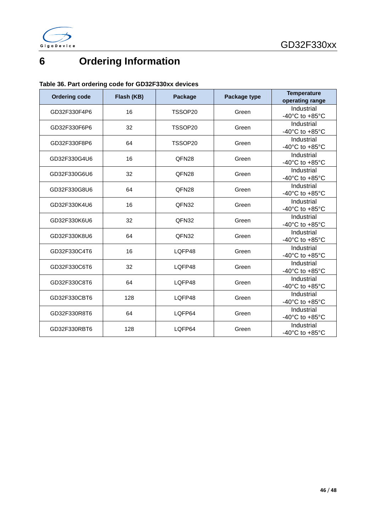



# <span id="page-46-0"></span>**6 Ordering Information**

#### <span id="page-46-1"></span>**Table 36. Part ordering code for GD32F330xx devices**

| <b>Ordering code</b> | Flash (KB) | Package           | Package type | <b>Temperature</b><br>operating range              |
|----------------------|------------|-------------------|--------------|----------------------------------------------------|
| GD32F330F4P6         | 16         | TSSOP20           | Green        | Industrial<br>-40°C to +85°C                       |
| GD32F330F6P6         | 32         | TSSOP20           | Green        | Industrial<br>-40 $^{\circ}$ C to +85 $^{\circ}$ C |
| GD32F330F8P6         | 64         | TSSOP20           | Green        | Industrial<br>-40 $^{\circ}$ C to +85 $^{\circ}$ C |
| GD32F330G4U6         | 16         | QFN <sub>28</sub> | Green        | Industrial<br>-40°C to +85°C                       |
| GD32F330G6U6         | 32         | QFN28             | Green        | Industrial<br>-40 $^{\circ}$ C to +85 $^{\circ}$ C |
| GD32F330G8U6         | 64         | QFN <sub>28</sub> | Green        | Industrial<br>-40 $^{\circ}$ C to +85 $^{\circ}$ C |
| GD32F330K4U6         | 16         | QFN32             | Green        | Industrial<br>-40°C to +85°C                       |
| GD32F330K6U6         | 32         | QFN32             | Green        | Industrial<br>-40 $^{\circ}$ C to +85 $^{\circ}$ C |
| GD32F330K8U6         | 64         | QFN32             | Green        | Industrial<br>-40 $^{\circ}$ C to +85 $^{\circ}$ C |
| GD32F330C4T6         | 16         | LQFP48            | Green        | Industrial<br>-40 $^{\circ}$ C to +85 $^{\circ}$ C |
| GD32F330C6T6         | 32         | LQFP48            | Green        | Industrial<br>-40 $^{\circ}$ C to +85 $^{\circ}$ C |
| GD32F330C8T6         | 64         | LQFP48            | Green        | Industrial<br>-40 $^{\circ}$ C to +85 $^{\circ}$ C |
| GD32F330CBT6         | 128        | LQFP48            | Green        | Industrial<br>-40 $^{\circ}$ C to +85 $^{\circ}$ C |
| GD32F330R8T6         | 64         | LQFP64            | Green        | Industrial<br>-40°C to +85°C                       |
| GD32F330RBT6         | 128        | LQFP64            | Green        | Industrial<br>-40 $^{\circ}$ C to +85 $^{\circ}$ C |